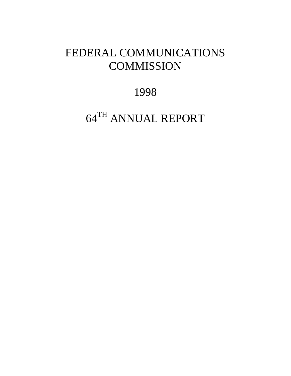# FEDERAL COMMUNICATIONS **COMMISSION**

1998

64TH ANNUAL REPORT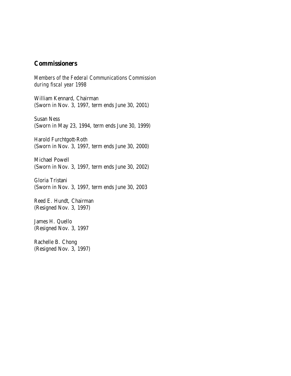## **Commissioners**

*Members of the Federal Communications Commission during fiscal year 1998*

William Kennard, Chairman (Sworn in Nov. 3, 1997, term ends June 30, 2001)

Susan Ness (Sworn in May 23, 1994, term ends June 30, 1999)

Harold Furchtgott-Roth (Sworn in Nov. 3, 1997, term ends June 30, 2000)

Michael Powell (Sworn in Nov. 3, 1997, term ends June 30, 2002)

Gloria Tristani (Sworn in Nov. 3, 1997, term ends June 30, 2003

Reed E. Hundt, Chairman (Resigned Nov. 3, 1997)

James H. Quello (Resigned Nov. 3, 1997

Rachelle B. Chong (Resigned Nov. 3, 1997)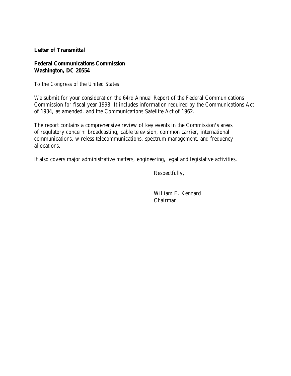## **Letter of Transmittal**

## **Federal Communications Commission Washington, DC 20554**

## *To the Congress of the United States*

We submit for your consideration the 64rd Annual Report of the Federal Communications Commission for fiscal year 1998. It includes information required by the Communications Act of 1934, as amended, and the Communications Satellite Act of 1962.

The report contains a comprehensive review of key events in the Commission's areas of regulatory concern: broadcasting, cable television, common carrier, international communications, wireless telecommunications, spectrum management, and frequency allocations.

It also covers major administrative matters, engineering, legal and legislative activities.

Respectfully,

William E. Kennard Chairman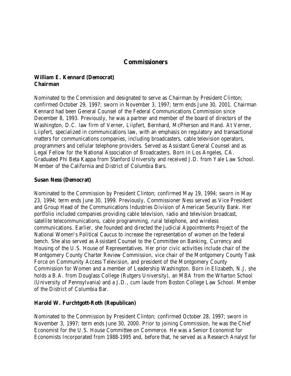## **Commissioners**

## **William E. Kennard (Democrat) Chairman**

Nominated to the Commission and designated to serve as Chairman by President Clinton; confirmed October 29, 1997; sworn in November 3, 1997; term ends June 30, 2001. Chairman Kennard had been General Counsel of the Federal Communications Commission since December 8, 1993. Previously, he was a partner and member of the board of directors of the Washington, D.C. law firm of Verner, Liipfert, Bernhard, McPherson and Hand. At Verner, Liipfert, specialized in communications law, with an emphasis on regulatory and transactional matters for communications companies, including broadcasters, cable television operators, programmers and cellular telephone providers. Served as Assistant General Counsel and as Legal Fellow for the National Association of Broadcasters. Born in Los Angeles, CA. Graduated Phi Beta Kappa from Stanford University and received J.D. from Yale Law School. Member of the California and District of Columbia Bars.

## **Susan Ness (Democrat)**

Nominated to the Commission by President Clinton; confirmed May 19, 1994; sworn in May 23, 1994; term ends June 30, 1999. Previously, Commissioner Ness served as Vice President and Group Head of the Communications Industries Division of American Security Bank. Her portfolio included companies providing cable television, radio and television broadcast, satellite telecommunications, cable programming, rural telephone, and wireless communications. Earlier, she founded and directed the Judicial Appointments Project of the National Women's Political Caucus to increase the representation of women on the federal bench. She also served as Assistant Counsel to the Committee on Banking, Currency and Housing of the U.S. House of Representatives. Her prior civic activities include chair of the Montgomery County Charter Review Commission, vice chair of the Montgomery County Task Force on Community Access Television, and president of the Montgomery County Commission for Women and a member of Leadership Washington. Born in Elizabeth, N.J, she holds a B.A. from Douglass College (Rutgers University), an MBA from the Wharton School (University of Pennsylvania) and a J.D., cum laude from Boston College Law School. Member of the District of Columbia Bar.

## **Harold W. Furchtgott-Roth (Republican)**

Nominated to the Commission by President Clinton; confirmed October 28, 1997; sworn in November 3, 1997; term ends June 30, 2000. Prior to joining Commission, he was the Chief Economist for the U.S. House Committee on Commerce. He was a Senior Economist for Economists Incorporated from 1988-1995 and, before that, he served as a Research Analyst for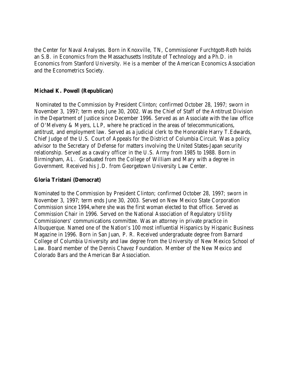the Center for Naval Analyses. Born in Knoxville, TN, Commissioner Furchtgott-Roth holds an S.B. in Economics from the Massachusetts Institute of Technology and a Ph.D. in Economics from Stanford University. He is a member of the American Economics Association and the Econometrics Society.

### **Michael K. Powell (Republican)**

 Nominated to the Commission by President Clinton; confirmed October 28, 1997; sworn in November 3, 1997; term ends June 30, 2002. Was the Chief of Staff of the Antitrust Division in the Department of Justice since December 1996. Served as an Associate with the law office of O'Melveny & Myers, LLP, where he practiced in the areas of telecommunications, antitrust, and employment law. Served as a judicial clerk to the Honorable Harry T.Edwards, Chief Judge of the U.S. Court of Appeals for the District of Columbia Circuit. Was a policy advisor to the Secretary of Defense for matters involving the United States-Japan security relationship. Served as a cavalry officer in the U.S. Army from 1985 to 1988. Born in Birmingham, AL. Graduated from the College of William and Mary with a degree in Government. Received his J.D. from Georgetown University Law Center.

## **Gloria Tristani (Democrat)**

Nominated to the Commission by President Clinton; confirmed October 28, 1997; sworn in November 3, 1997; term ends June 30, 2003. Served on New Mexico State Corporation Commission since 1994,where she was the first woman elected to that office. Served as Commission Chair in 1996. Served on the National Association of Regulatory Utility Commissioners' communications committee. Was an attorney in private practice in Albuquerque. Named one of the Nation's 100 most influential Hispanics by Hispanic Business Magazine in 1996. Born in San Juan, P. R. Received undergraduate degree from Barnard College of Columbia University and law degree from the University of New Mexico School of Law. Board member of the Dennis Chavez Foundation. Member of the New Mexico and Colorado Bars and the American Bar Association.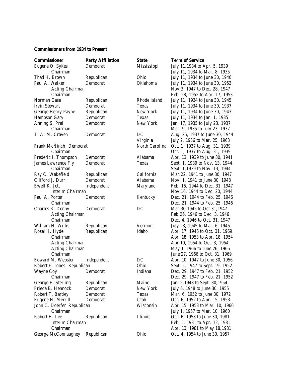#### **Commissioners from 1934 to Present**

| <b>Commissioner</b>                | <b>Party Affiliation</b> | State          | <b>Term of Service</b>                                          |
|------------------------------------|--------------------------|----------------|-----------------------------------------------------------------|
| Eugene O. Sykes                    | Democrat                 | Mississippi    | July 11, 1934 to Apr. 5, 1939                                   |
| Chairman                           |                          |                | July 11, 1934 to Mar. 8, 1935                                   |
| Thad H. Brown                      | Republican               | Ohio           | July 11, 1934 to June 30, 1940                                  |
| Paul A. Walker                     | Democrat                 | Oklahoma       | July 11, 1934 to June 30, 1953                                  |
| <b>Acting Chairman</b>             |                          |                | Nov.3, 1947 to Dec. 28, 1947                                    |
| Chairman                           |                          |                | Feb. 28, 1952 to Apr. 17, 1953                                  |
| Norman Case                        | Republican               | Rhode Island   | July 11, 1934 to June 30, 1945                                  |
| <b>Irvin Stewart</b>               | Democrat                 | Texas          | July 11, 1934 to June 30, 1937                                  |
| George Henry Payne                 | Republican               | New York       | July 11, 1934 to June 30, 1943                                  |
| <b>Hampson Gary</b>                | Democrat                 | Texas          | July 11, 1934 to Jan. 1, 1935                                   |
| Anning S. Prall                    | Democrat                 | New York       | Jan. 17, 1935 to July 23, 1937                                  |
| Chairman                           |                          |                | Mar. 9, 1935 to July 23, 1937                                   |
| T. A. M. Craven                    | Democrat                 | DC             | Aug. 25, 1937 to June 30, 1944                                  |
|                                    |                          | Virginia       | July 2, 1956 to Mar. 25, 1963                                   |
| Frank McNinch Democrat             |                          | North Carolina | Oct. 1, 1937 to Aug. 31, 1939                                   |
| Chairman                           |                          |                | Oct. 1, 1937 to Aug. 31, 1939                                   |
| Frederic I. Thompson               | Democrat                 | Alabama        | Apr. 13, 1939 to June 30, 1941                                  |
| James Lawrence Fly                 | Democrat                 | <b>Texas</b>   | Sept. 1, 1939 to Nov. 13, 1944                                  |
| Chairman                           |                          |                | Sept. 1, 1939 to Nov. 13, 1944                                  |
| Ray C. Wakefield                   | Republican               | California     | Mar. 22, 1941 to June 30, 1947                                  |
| Clifford J. Durr                   | Democrat                 | Alabama        | Nov. 1, 1941 to June 30, 1948                                   |
| Ewell K. Jett                      | Independent              | Maryland       | Feb. 15, 1944 to Dec. 31, 1947                                  |
| Interim Chairman                   |                          |                | Nov. 16, 1944 to Dec. 20, 1944                                  |
| Paul A. Porter<br>Chairman         | Democrat                 | Kentucky       | Dec. 21, 1944 to Feb. 25, 1946                                  |
|                                    |                          | DC             | Dec. 21, 1944 to Feb. 25, 1946                                  |
| Charles R. Denny                   | Democrat                 |                | Mar. 30, 1945 to Oct. 31, 1947                                  |
| <b>Acting Chairman</b><br>Chairman |                          |                | Feb. 26, 1946 to Dec. 3, 1946                                   |
| William H. Willis                  | Republican               | Vermont        | Dec. 4, 1946 to Oct. 31, 1947                                   |
| Rosel H. Hyde                      | Republican               | Idaho          | July 23, 1945 to Mar. 6, 1946<br>Apr. 17, 1946 to Oct. 31, 1969 |
| Chairman                           |                          |                | Apr. 18, 1953 to Apr. 18, 1954                                  |
| <b>Acting Chairman</b>             |                          |                | Apr. 19, 1954 to Oct. 3, 1954                                   |
| <b>Acting Chairman</b>             |                          |                | May 1, 1966 to June 26, 1966                                    |
| Chairman                           |                          |                | June 27, 1966 to Oct. 31, 1969                                  |
| Edward M. Webster                  | Independent              | DC             | Apr. 10, 1947 to June 30, 1956                                  |
| Robert F. Jones Republican         |                          | Ohio           | Sept. 5, 1947 to Sept. 19, 1952                                 |
| Wayne Coy                          | Democrat                 | Indiana        | Dec. 29, 1947 to Feb. 21, 1952                                  |
| Chairman                           |                          |                | Dec. 29, 1947 to Feb. 21, 1952                                  |
| George E. Sterling                 | Republican               | Maine          | Jan. 2,1948 to Sept. 30,1954                                    |
| Frieda B. Hennock                  | Democrat                 | New York       | July 6, 1948 to June 30, 1955                                   |
| Robert T. Bartley                  | Democrat                 | Texas          | Mar. 6, 1952 to June 30, 1972                                   |
| Eugene H. Merrill                  | Democrat                 | Utah           | Oct. 6, 1952 to Apr. 15, 1953                                   |
| John C. Doerfer Republican         |                          | Wisconsin      | Apr. 15, 1953 to Mar. 10, 1960                                  |
| Chairman                           |                          |                | July 1, 1957 to Mar. 10, 1960                                   |
| Robert E. Lee                      | Republican               | Illinois       | Oct. 6, 1953 to June 30, 1981                                   |
| Interim Chairman                   |                          |                | Feb. 5, 1981 to Apr. 12, 1981                                   |
| Chairman                           |                          |                | Apr. 13, 1981 to May 18, 1981                                   |
| George McConnaughey                | Republican               | Ohio           | Oct. 4, 1954 to June 30, 1957                                   |
|                                    |                          |                |                                                                 |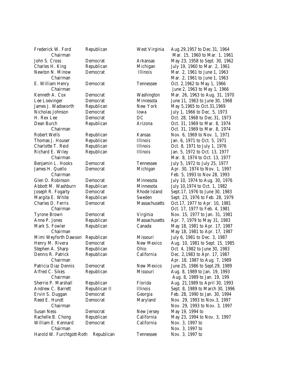| Frederick W. Ford         | Republican    | West Virginia | Aug. 29, 1957 to Dec. 31, 1964  |
|---------------------------|---------------|---------------|---------------------------------|
| Chairman                  |               |               | Mar. 15, 1960 to Mar. 1, 1961   |
| John S. Cross             | Democrat      | Arkansas      | May 23, 1958 to Sept. 30, 1962  |
| Charles H. King           | Republican    | Michigan      | July 19, 1960 to Mar. 2, 1961   |
| Newton N. Minow           | Democrat      | Illinois      | Mar. 2, 1961 to June 1, 1963    |
| Chairman                  |               |               | Mar. 2, 1961 to June 1, 1963    |
| E. William Henry          | Democrat      | Tennessee     | Oct. 2,1962 to May 1, 1966      |
| Chairman                  |               |               | June 2, 1963 to May 1, 1966     |
| Kenneth A. Cox            | Democrat      | Washington    | Mar. 26, 1963 to Aug. 31, 1970  |
| Lee Loevinger             | Democrat      | Minnesota     | June 11, 1963 to June 30, 1968  |
| James J. Wadsworth        | Republican    | New York      | May 5,1965 to Oct. 31,1969      |
| Nicholas Johnson          | Democrat      | Iowa          | July 1, 1966 to Dec. 5, 1973    |
| H. Rex Lee                | Democrat      | DC            | Oct. 28, 1968 to Dec. 31, 1973  |
| Dean Burch                | Republican    | Arizona       | Oct. 31, 1969 to Mar. 8, 1974   |
| Chairman                  |               |               | Oct. 31, 1969 to Mar. 8, 1974   |
| Robert Wells              | Republican    | Kansas        | Nov. 6, 1969 to Nov. 1, 1971    |
| Thomas J. Houser          | Republican    | Illinois      | Jan. 6, 1971 to Oct. 5, 1971    |
| Charlotte T. Reid         | Republican    | Illinois      | Oct. 8, 1971 to July 1, 1976    |
| Richard E. Wiley          | Republican    | Illinois      | Jan. 5, 1972 to Oct. 13, 1977   |
| Chairman                  |               |               | Mar. 8, 1974 to Oct. 13, 1977   |
| Benjamin L. Hooks         | Democrat      | Tennessee     | July 5, 1972 to July 25, 1977   |
| James H. Quello           | Democrat      | Michigan      | Apr. 30, 1974 to Nov. 1, 1997   |
| Chairman                  |               |               | Feb. 5, 1993 to Nov 28, 1993    |
| Glen O. Robinson          | Democrat      | Minnesota     | July 10, 1974 to Aug. 30, 1976  |
| Abbott M. Washburn        | Republican    | Minnesota     | July 10,1974 to Oct. 1, 1982    |
| Joseph R. Fogarty         | Democrat      | Rhode Island  | Sept. 17, 1976 to June 30, 1983 |
| Margita E. White          | Republican    | Sweden        | Sept. 23, 1976 to Feb. 28, 1979 |
| Charles D. Ferris         | Democrat      | Massachusetts | Oct. 17, 1977 to Apr. 10, 1981  |
| Chairman                  |               |               | Oct. 17, 1977 to Feb. 4, 1981   |
| <b>Tyrone Brown</b>       | Democrat      | Virginia      | Nov. 15, 1977 to Jan. 31, 1981  |
| Anne P. Jones             | Republican    | Massachusetts | Apr. 7, 1979 to May 31, 1983    |
| Mark S. Fowler            | Republican    | Canada        | May 18, 1981 to Apr. 17, 1987   |
| Chairman                  |               |               | May 18, 1981 to Apr. 17, 1987   |
| Mimi Weyforth Dawson      | Republican    | Missouri      | July 6, 1981 to Dec. 3, 1987    |
| Henry M. Rivera           | Democrat      | New Mexico    | Aug. 10, 1981 to Sept. 15, 1985 |
| Stephen A. Sharp          | Republican    | Ohio          | Oct. 4, 1982 to June 30, 1983   |
| Dennis R. Patrick         | Republican    | California    | Dec. 2,1983 to Apr. 17, 1987    |
| Chairman                  |               |               | Apr. 18, 1987 to Aug. 7, 1989   |
| Patricia Diaz Dennis      | Democrat      | New Mexico    | June 25, 1986 to Sept. 29, 1989 |
| Alfred C. Sikes           | Republican    | Missouri      | Aug. 8, 1989 to Jan. 19, 1993   |
| Chairman                  |               |               | Aug. 8, 1989 to Jan. 19, 199    |
| Sherrie P. Marshall       | Republican    | Florida       | Aug. 21,1989 to April 30, 1993  |
| Andrew C. Barrett         | Republican Il | Illinois      | Sept. 8, 1989 to March 30, 1996 |
| Ervin S. Duggan           | Democrat      | Georgia       | Feb. 28, 1990 to Jan. 30, 1994  |
| Reed E. Hundt             | Democrat      | Maryland      | Nov. 29, 1993 to Nov. 3, 1997   |
| Chairman                  |               |               | Nov. 29, 1993 to Nov. 3, 1997   |
| <b>Susan Ness</b>         | Democrat      | New Jersey    | May 19, 1994 to                 |
| Rachelle B. Chong         | Republican    | California    | May 23, 1994 to Nov. 3, 1997    |
| William E. Kennard        | Democrat      | California    | Nov. 3, 1997 to                 |
| Chairman                  |               |               | Nov. 3, 1997 to                 |
| Harold W. Furchtgott-Roth | Republican    | Tennessee     | Nov. 3, 1997 to                 |
|                           |               |               |                                 |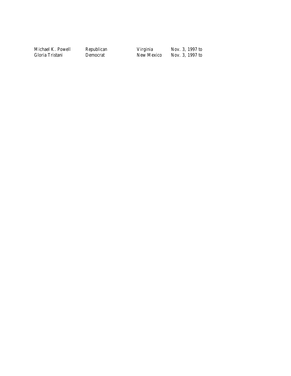Michael K. Powell Republican Virginia Nov. 3, 1997 to

Nov. 3, 1997 to<br>Nov. 3, 1997 to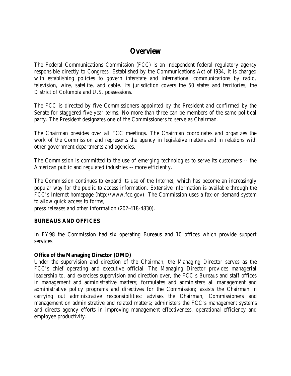## **Overview**

The Federal Communications Commission (FCC) is an independent federal regulatory agency responsible directly to Congress. Established by the Communications Act of l934, it is charged with establishing policies to govern interstate and international communications by radio, television, wire, satellite, and cable. Its jurisdiction covers the 50 states and territories, the District of Columbia and U.S. possessions.

The FCC is directed by five Commissioners appointed by the President and confirmed by the Senate for staggered five-year terms. No more than three can be members of the same political party. The President designates one of the Commissioners to serve as Chairman.

The Chairman presides over all FCC meetings. The Chairman coordinates and organizes the work of the Commission and represents the agency in legislative matters and in relations with other government departments and agencies.

The Commission is committed to the use of emerging technologies to serve its customers -- the American public and regulated industries -- more efficiently.

The Commission continues to expand its use of the Internet, which has become an increasingly popular way for the public to access information. Extensive information is available through the FCC's Internet homepage (http://www.fcc.gov). The Commission uses a fax-on-demand system to allow quick access to forms,

press releases and other information (202-418-4830).

## **BUREAUS AND OFFICES**

In FY98 the Commission had six operating Bureaus and 10 offices which provide support services.

#### **Office of the Managing Director (OMD)**

Under the supervision and direction of the Chairman, the Managing Director serves as the FCC's chief operating and executive official. The Managing Director provides managerial leadership to, and exercises supervision and direction over, the FCC's Bureaus and staff offices in management and administrative matters; formulates and administers all management and administrative policy programs and directives for the Commission; assists the Chairman in carrying out administrative responsibilities; advises the Chairman, Commissioners and management on administrative and related matters; administers the FCC's management systems and directs agency efforts in improving management effectiveness, operational efficiency and employee productivity.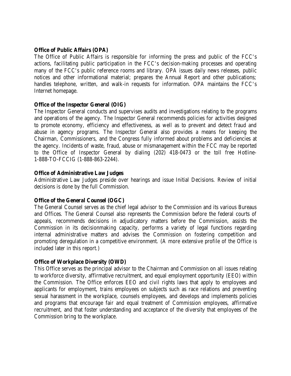## **Office of Public Affairs (OPA)**

The Office of Public Affairs is responsible for informing the press and public of the FCC's actions, facilitating public participation in the FCC's decision-making processes and operating many of the FCC's public reference rooms and library. OPA issues daily news releases, public notices and other informational material; prepares the Annual Report and other publications; handles telephone, written, and walk-in requests for information. OPA maintains the FCC's Internet homepage.

## **Office of the Inspector General (OIG)**

The Inspector General conducts and supervises audits and investigations relating to the programs and operations of the agency. The Inspector General recommends policies for activities designed to promote economy, efficiency and effectiveness, as well as to prevent and detect fraud and abuse in agency programs. The Inspector General also provides a means for keeping the Chairman, Commissioners, and the Congress fully informed about problems and deficiencies at the agency. Incidents of waste, fraud, abuse or mismanagement within the FCC may be reported to the Office of Inspector General by dialing (202) 418-0473 or the toll free Hotline-1-888-TO-FCCIG (1-888-863-2244).

## **Office of Administrative Law Judges**

Administrative Law Judges preside over hearings and issue Initial Decisions. Review of initial decisions is done by the full Commission.

#### **Office of the General Counsel (OGC)**

The General Counsel serves as the chief legal advisor to the Commission and its various Bureaus and Offices. The General Counsel also represents the Commission before the federal courts of appeals, recommends decisions in adjudicatory matters before the Commission, assists the Commission in its decisionmaking capacity, performs a variety of legal functions regarding internal administrative matters and advises the Commission on fostering competition and promoting deregulation in a competitive environment. (A more extensive profile of the Office is included later in this report.)

#### **Office of Workplace Diversity (OWD)**

This Office serves as the principal advisor to the Chairman and Commission on all issues relating to workforce diversity, affirmative recruitment, and equal employment opportunity (EEO) within the Commission. The Office enforces EEO and civil rights laws that apply to employees and applicants for employment, trains employees on subjects such as race relations and preventing sexual harassment in the workplace, counsels employees, and develops and implements policies and programs that encourage fair and equal treatment of Commission employees, affirmative recruitment, and that foster understanding and acceptance of the diversity that employees of the Commission bring to the workplace.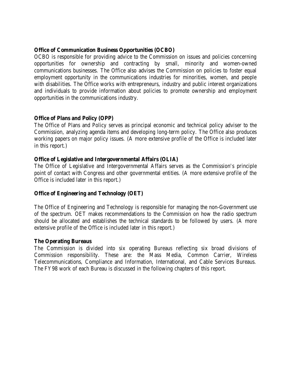## **Office of Communication Business Opportunities (OCBO)**

OCBO is responsible for providing advice to the Commission on issues and policies concerning opportunities for ownership and contracting by small, minority and women-owned communications businesses. The Office also advises the Commission on policies to foster equal employment opportunity in the communications industries for minorities, women, and people with disabilities. The Office works with entrepreneurs, industry and public interest organizations and individuals to provide information about policies to promote ownership and employment opportunities in the communications industry.

## **Office of Plans and Policy (OPP)**

The Office of Plans and Policy serves as principal economic and technical policy adviser to the Commission, analyzing agenda items and developing long-term policy. The Office also produces working papers on major policy issues. (A more extensive profile of the Office is included later in this report.)

## **Office of Legislative and Intergovernmental Affairs (OLIA)**

The Office of Legislative and Intergovernmental Affairs serves as the Commission's principle point of contact with Congress and other governmental entities. (A more extensive profile of the Office is included later in this report.)

## **Office of Engineering and Technology (OET)**

The Office of Engineering and Technology is responsible for managing the non-Government use of the spectrum. OET makes recommendations to the Commission on how the radio spectrum should be allocated and establishes the technical standards to be followed by users. (A more extensive profile of the Office is included later in this report.)

#### **The Operating Bureaus**

The Commission is divided into six operating Bureaus reflecting six broad divisions of Commission responsibility. These are: the Mass Media, Common Carrier, Wireless Telecommunications, Compliance and Information, International, and Cable Services Bureaus. The FY98 work of each Bureau is discussed in the following chapters of this report.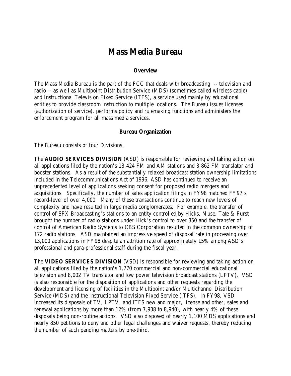## **Mass Media Bureau**

#### **Overview**

The Mass Media Bureau is the part of the FCC that deals with broadcasting -- television and radio -- as well as Multipoint Distribution Service (MDS) (sometimes called wireless cable) and Instructional Television Fixed Service (ITFS), a service used mainly by educational entities to provide classroom instruction to multiple locations. The Bureau issues licenses (authorization of service), performs policy and rulemaking functions and administers the enforcement program for all mass media services.

#### **Bureau Organization**

The Bureau consists of four Divisions.

The **AUDIO SERVICES DIVISION** (ASD) is responsible for reviewing and taking action on all applications filed by the nation's 13,424 FM and AM stations and 3,862 FM translator and booster stations. As a result of the substantially relaxed broadcast station ownership limitations included in the Telecommunications Act of 1996, ASD has continued to receive an unprecedented level of applications seeking consent for proposed radio mergers and acquisitions. Specifically, the number of sales application filings in FY98 matched FY97's record-level of over 4,000. Many of these transactions continue to reach new levels of complexity and have resulted in large media conglomerates. For example, the transfer of control of SFX Broadcasting's stations to an entity controlled by Hicks, Muse, Tate & Furst brought the number of radio stations under Hick's control to over 350 and the transfer of control of American Radio Systems to CBS Corporation resulted in the common ownership of 172 radio stations. ASD maintained an impressive speed of disposal rate in processing over 13,000 applications in FY98 despite an attrition rate of approximately 15% among ASD's professional and para-professional staff during the fiscal year.

The **VIDEO SERVICES DIVISION** (VSD) is responsible for reviewing and taking action on all applications filed by the nation's 1,770 commercial and non-commercial educational television and 8,002 TV translator and low power television broadcast stations (LPTV). VSD is also responsible for the disposition of applications and other requests regarding the development and licensing of facilities in the Multipoint and/or Multichannel Distribution Service (MDS) and the Instructional Television Fixed Service (ITFS). In FY98, VSD increased its disposals of TV, LPTV, and ITFS new and major, license and other, sales and renewal applications by more than 12% (from 7,938 to 8,940), with nearly 4% of these disposals being non-routine actions. VSD also disposed of nearly 1,100 MDS applications and nearly 850 petitions to deny and other legal challenges and waiver requests, thereby reducing the number of such pending matters by one-third.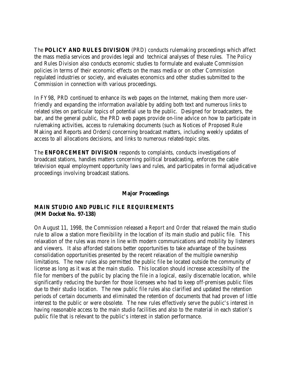The **POLICY AND RULES DIVISION** (PRD) conducts rulemaking proceedings which affect the mass media services and provides legal and technical analyses of these rules. The Policy and Rules Division also conducts economic studies to formulate and evaluate Commission policies in terms of their economic effects on the mass media or on other Commission regulated industries or society, and evaluates economics and other studies submitted to the Commission in connection with various proceedings.

In FY98, PRD continued to enhance its web pages on the Internet, making them more userfriendly and expanding the information available by adding both text and numerous links to related sites on particular topics of potential use to the public. Designed for broadcasters, the bar, and the general public, the PRD web pages provide on-line advice on how to participate in rulemaking activities, access to rulemaking documents (such as Notices of Proposed Rule Making and Reports and Orders) concerning broadcast matters, including weekly updates of access to all allocations decisions, and links to numerous related-topic sites.

The **ENFORCEMENT DIVISION** responds to complaints, conducts investigations of broadcast stations, handles matters concerning political broadcasting, enforces the cable television equal employment opportunity laws and rules, and participates in formal adjudicative proceedings involving broadcast stations.

## **Major Proceedings**

## **MAIN STUDIO AND PUBLIC FILE REQUIREMENTS (MM Docket No. 97-138)**

On August 11, 1998, the Commission released a *Report and Order* that relaxed the main studio rule to allow a station more flexibility in the location of its main studio and public file. This relaxation of the rules was more in line with modern communications and mobility by listeners and viewers. It also afforded stations better opportunities to take advantage of the business consolidation opportunities presented by the recent relaxation of the multiple ownership limitations. The new rules also permitted the public file be located outside the community of license as long as it was at the main studio. This location should increase accessibilty of the file for members of the public by placing the file in a logical, easily discernable location, while significantly reducing the burden for those licensees who had to keep off-premises public files due to their studio location. The new public file rules also clarified and updated the retention periods of certain documents and eliminated the retention of documents that had proven of little interest to the public or were obsolete. The new rules effectively serve the public's interest in having reasonable access to the main studio facilities and also to the material in each station's public file that is relevant to the public's interest in station performance.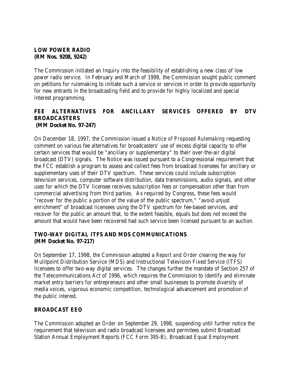## **LOW POWER RADIO (RM Nos. 9208, 9242)**

The Commission initiated an Inquiry into the feasibility of establishing a new class of low power radio service. In February and March of 1998, the Commission sought public comment on petitions for rulemaking to initiate such a service or services in order to provide opportunity for new entrants in the broadcasting field and to provide for highly localized and special interest programming.

## **FEE ALTERNATIVES FOR ANCILLARY SERVICES OFFERED BY DTV BROADCASTERS (MM Docket No. 97-247)**

On December 18, 1997, the Commission issued a *Notice of Proposed Rulemaking* requesting comment on various fee alternatives for broadcasters' use of excess digital capacity to offer certain services that would be "ancillary or supplementary" to their over-the-air digital broadcast (DTV) signals. The *Notice* was issued pursuant to a Congressional requirement that the FCC establish a program to assess and collect fees from broadcast licensees for ancillary or supplementary uses of their DTV spectrum. These services could include subscription television services, computer software distribution, data transmissions, audio signals, and other uses for which the DTV licensee receives subscription fees or compensation other than from commercial advertising from third parties. As required by Congress, these fees would "recover for the public a portion of the value of the public spectrum," "avoid unjust enrichment" of broadcast licensees using the DTV spectrum for fee-based services, and recover for the public an amount that, to the extent feasible, equals but does not exceed the amount that would have been recovered had such service been licensed pursuant to an auction.

## **TWO-WAY DIGITAL ITFS AND MDS COMMUNICATIONS (MM Docket No. 97-217)**

On September 17, 1998, the Commission adopted a *Report and Order* clearing the way for Mulitpoint Distribution Service (MDS) and Instructional Television Fixed Service (ITFS) licensees to offer two-way digital services. The changes further the mandate of Section 257 of the Telecommunications Act of 1996, which requires the Commission to identify and eliminate market entry barriers for entrepreneurs and other small businesses to promote diversity of media voices, vigorous economic competition, technological advancement and promotion of the public interest.

## **BROADCAST EEO**

The Commission adopted an *Order* on September 29, 1998, suspending until further notice the requirement that television and radio broadcast licensees and permitees submit Broadcast Station Annual Employment Reports (FCC Form 395-B), Broadcast Equal Employment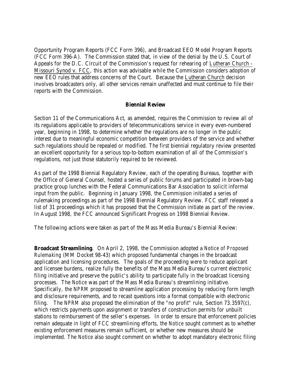Opportunity Program Reports (FCC Form 396), and Broadcast EEO Model Program Reports (FCC Form 396-A). The Commission stated that, in view of the denial by the U.S. Court of Appeals for the D.C. Circuit of the Commission's request for rehearing of Lutheran Church - Missouri Synod v. FCC, this action was advisable while the Commission considers adoption of new EEO rules that address concerns of the Court. Because the Lutheran Church decision involves broadcasters only, all other services remain unaffected and must continue to file their reports with the Commission.

#### **Biennial Review**

Section 11 of the Communications Act, as amended, requires the Commission to review all of its regulations applicable to providers of telecommunications service in every even-numbered year, beginning in 1998, to determine whether the regulations are no longer in the public interest due to meaningful economic competition between providers of the service and whether such regulations should be repealed or modified. The first biennial regulatory review presented an excellent opportunity for a serious top-to-bottom examination of all of the Commission's regulations, not just those statutorily required to be reviewed.

As part of the 1998 Biennial Regulatory Review, each of the operating Bureaus, together with the Office of General Counsel, hosted a series of public forums and participated in brown-bag practice group lunches with the Federal Communications Bar Association to solicit informal input from the public. Beginning in January 1998, the Commission initiated a series of rulemaking proceedings as part of the 1998 Biennial Regulatory Review. FCC staff released a list of 31 proceedings which it has proposed that the Commission initiate as part of the review. In August 1998, the FCC announced Significant Progress on 1998 Biennial Review.

The following actions were taken as part of the Mass Media Bureau's Biennial Review:

**Broadcast Streamlining**. On April 2, 1998, the Commission adopted a *Notice of Proposed Rulemaking* (MM Docket 98-43) which proposed fundamental changes in the broadcast application and licensing procedures. The goals of the proceeding were to reduce applicant and licensee burdens, realize fully the benefits of the Mass Media Bureau's current electronic filing initiative and preserve the public's ability to participate fully in the broadcast licensing processes. The *Notice* was part of the Mass Media Bureau's streamlining initiative. Specifically, the *NPRM* proposed to streamline application processing by reducing form length and disclosure requirements, and to recast questions into a format compatible with electronic filing. The *NPRM* also proposed the elimination of the "no profit" rule, Section 73.3597(c), which restricts payments upon assignment or transfers of construction permits for unbuilt stations to reimbursement of the seller's expenses. In order to ensure that enforcement policies remain adequate in light of FCC streamlining efforts, the *Notice* sought comment as to whether existing enforcement measures remain sufficient, or whether new measures should be implemented. The *Notice* also sought comment on whether to adopt mandatory electronic filing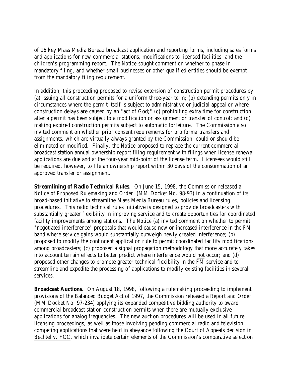of 16 key Mass Media Bureau broadcast application and reporting forms, including sales forms and applications for new commercial stations, modifications to licensed facilities, and the children's programming report. The *Notice* sought comment on whether to phase in mandatory filing, and whether small businesses or other qualified entities should be exempt from the mandatory filing requirement.

In addition, this proceeding proposed to revise extension of construction permit procedures by (a) issuing all construction permits for a uniform three-year term; (b) extending permits only in circumstances where the permit itself is subject to administrative or judicial appeal or where construction delays are caused by an "act of God;" (c) prohibiting extra time for construction after a permit has been subject to a modification or assignment or transfer of control; and (d) making expired construction permits subject to automatic forfeiture. The Commission also invited comment on whether prior consent requirements for *pro forma* transfers and assignments, which are virtually always granted by the Commission, could or should be eliminated or modified. Finally, the *Notice* proposed to replace the current commercial broadcast station annual ownership report filing requirement with filings when license renewal applications are due and at the four-year mid-point of the license term. Licensees would still be required, however, to file an ownership report within 30 days of the consummation of an approved transfer or assignment.

**Streamlining of Radio Technical Rules**. On June 15, 1998, the Commission released a *Notice of Proposed Rulemaking and Order* (MM Docket No. 98-93) in a continuation of its broad-based initiative to streamline Mass Media Bureau rules, policies and licensing procedures. This radio technical rules initiative is designed to provide broadcasters with substantially greater flexibility in improving service and to create opportunities for coordinated facility improvements among stations. The *Notice* (a) invited comment on whether to permit "negotiated interference" proposals that would cause new or increased interference in the FM band where service gains would substantially outweigh newly created interference; (b) proposed to modify the contingent application rule to permit coordinated facility modifications among broadcasters; (c) proposed a signal propagation methodology that more accurately takes into account terrain effects to better predict where interference would not occur; and (d) proposed other changes to promote greater technical flexibility in the FM service and to streamline and expedite the processing of applications to modify existing facilities in several services.

**Broadcast Auctions.** On August 18, 1998, following a rulemaking proceeding to implement provisions of the Balanced Budget Act of 1997, the Commission released a *Report and Order* (MM Docket No. 97-234) applying its expanded competitive bidding authority to award commercial broadcast station construction permits when there are mutually exclusive applications for analog frequencies. The new auction procedures will be used in all future licensing proceedings, as well as those involving pending commercial radio and television competing applications that were held in abeyance following the Court of Appeals decision in Bechtel v. FCC, which invalidate certain elements of the Commission's comparative selection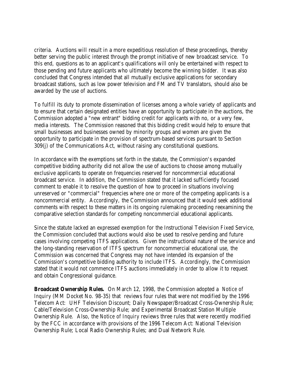criteria. Auctions will result in a more expeditious resolution of these proceedings, thereby better serving the public interest through the prompt initiative of new broadcast service. To this end, questions as to an applicant's qualifications will only be entertained with respect to those pending and future applicants who ultimately become the winning bidder. It was also concluded that Congress intended that all mutually exclusive applications for secondary broadcast stations, such as low power television and FM and TV translators, should also be awarded by the use of auctions.

To fulfill its duty to promote dissemination of licenses among a whole variety of applicants and to ensure that certain designated entities have an opportunity to participate in the auctions, the Commission adopted a "new entrant" bidding credit for applicants with no, or a very few, media interests. The Commission reasoned that this bidding credit would help to ensure that small businesses and businesses owned by minority groups and women are given the opportunity to participate in the provision of spectrum-based services pursuant to Section 309(j) of the Communications Act, without raising any constitutional questions.

In accordance with the exemptions set forth in the statute, the Commission's expanded competitive bidding authority did not allow the use of auctions to choose among mutually exclusive applicants to operate on frequencies reserved for noncommercial educational broadcast service. In addition, the Commission stated that it lacked sufficiently focused comment to enable it to resolve the question of how to proceed in situations involving unreserved or "commercial" frequencies where one or more of the competing applicants is a noncommercial entity. Accordingly, the Commission announced that it would seek additional comments with respect to these matters in its ongoing rulemaking proceeding reexamining the comparative selection standards for competing noncommercial educational applicants.

Since the statute lacked an expressed exemption for the Instructional Television Fixed Service, the Commission concluded that auctions would also be used to resolve pending and future cases involving competing ITFS applications. Given the instructional nature of the service and the long-standing reservation of ITFS spectrum for noncommercial educational use, the Commission was concerned that Congress may not have intended its expansion of the Commission's competitive bidding authority to include ITFS. Accordingly, the Commission stated that it would not commence ITFS auctions immediately in order to allow it to request and obtain Congressional guidance.

**Broadcast Ownership Rules.** On March 12, 1998, the Commission adopted a *Notice of Inquiry* (MM Docket No. 98-35) that reviews four rules that were not modified by the 1996 Telecom Act: UHF Television Discount; Daily Newspaper/Broadcast Cross-Ownership Rule; Cable/Television Cross-Ownership Rule; and Experimental Broadcast Station Multiple Ownership Rule. Also, the *Notice of Inquiry* reviews three rules that were recently modified by the FCC in accordance with provisions of the 1996 Telecom Act: National Television Ownership Rule; Local Radio Ownership Rules; and Dual Network Rule.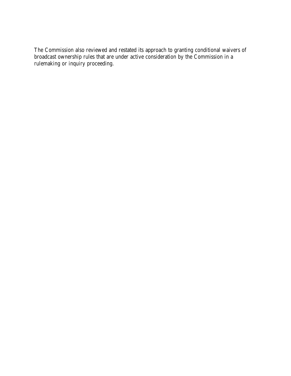The Commission also reviewed and restated its approach to granting conditional waivers of broadcast ownership rules that are under active consideration by the Commission in a rulemaking or inquiry proceeding.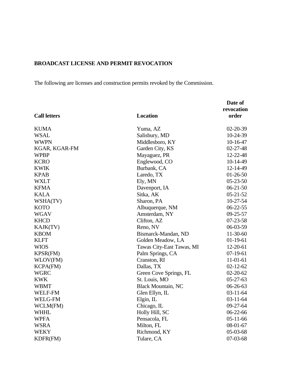## **BROADCAST LICENSE AND PERMIT REVOCATION**

The following are licenses and construction permits revoked by the Commission.

|                     |                           | Date of<br>revocation |
|---------------------|---------------------------|-----------------------|
| <b>Call letters</b> | <b>Location</b>           | order                 |
| <b>KUMA</b>         | Yuma, AZ                  | $02 - 20 - 39$        |
| <b>WSAL</b>         | Salisbury, MD             | 10-24-39              |
| <b>WWPN</b>         | Middlesboro, KY           | $10-16-47$            |
| KGAR, KGAR-FM       | Garden City, KS           | $02 - 27 - 48$        |
| <b>WPBP</b>         | Mayaguez, PR              | 12-22-48              |
| <b>KCRO</b>         | Englewood, CO             | $10-14-49$            |
| <b>KWIK</b>         | Burbank, CA               | 12-14-49              |
| <b>KPAB</b>         | Laredo, TX                | $01-26-50$            |
| <b>WXLT</b>         | Ely, MN                   | $05-23-50$            |
| <b>KFMA</b>         | Davenport, IA             | $06-21-50$            |
| <b>KALA</b>         | Sitka, AK                 | $05 - 21 - 52$        |
| WSHA(TV)            | Sharon, PA                | 10-27-54              |
| <b>KOTO</b>         | Albuquerque, NM           | $06-22-55$            |
| <b>WGAV</b>         | Amsterdam, NY             | $09 - 25 - 57$        |
| <b>KHCD</b>         | Clifton, AZ               | $07 - 23 - 58$        |
| KAJK(TV)            | Reno, NV                  | $06-03-59$            |
| <b>KBOM</b>         | Bismarck-Mandan, ND       | $11-30-60$            |
| <b>KLFT</b>         | Golden Meadow, LA         | $01-19-61$            |
| <b>WIOS</b>         | Tawas City-East Tawas, MI | $12 - 20 - 61$        |
| KPSR(FM)            | Palm Springs, CA          | $07-19-61$            |
| WLOV(FM)            | Cranston, RI              | $11-01-61$            |
| <b>KCPA(FM)</b>     | Dallas, TX                | $02 - 12 - 62$        |
| <b>WGRC</b>         | Green Cove Springs, FL    | $02 - 20 - 62$        |
| <b>KWK</b>          | St. Louis, MO             | $05-27-63$            |
| <b>WBMT</b>         | <b>Black Mountain, NC</b> | $06-26-63$            |
| <b>WELF-FM</b>      | Glen Ellyn, IL            | $03 - 11 - 64$        |
| <b>WELG-FM</b>      | Elgin, IL                 | $03 - 11 - 64$        |
| WCLM(FM)            | Chicago, IL               | $09-27-64$            |
| <b>WHHL</b>         | Holly Hill, SC            | 06-22-66              |
| <b>WPFA</b>         | Pensacola, FL             | $05-11-66$            |
| <b>WSRA</b>         | Milton, FL                | $08-01-67$            |
| <b>WEKY</b>         | Richmond, KY              | 05-03-68              |
| KDFR(FM)            | Tulare, CA                | 07-03-68              |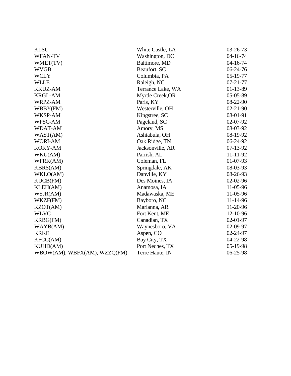| <b>KLSU</b>                  | White Castle, LA  | $03 - 26 - 73$ |
|------------------------------|-------------------|----------------|
| <b>WFAN-TV</b>               | Washington, DC    | $04 - 16 - 74$ |
| WMET(TV)                     | Baltimore, MD     | $04 - 16 - 74$ |
| <b>WVGB</b>                  | Beaufort, SC      | $06-24-76$     |
| <b>WCLY</b>                  | Columbia, PA      | $05-19-77$     |
| <b>WLLE</b>                  | Raleigh, NC       | $07 - 21 - 77$ |
| <b>KKUZ-AM</b>               | Terrance Lake, WA | $01-13-89$     |
| <b>KRGL-AM</b>               | Myrtle Creek, OR  | 05-05-89       |
| WRPZ-AM                      | Paris, KY         | 08-22-90       |
| WBBY(FM)                     | Westerville, OH   | $02 - 21 - 90$ |
| WKSP-AM                      | Kingstree, SC     | 08-01-91       |
| WPSC-AM                      | Pageland, SC      | 02-07-92       |
| <b>WDAT-AM</b>               | Amory, MS         | 08-03-92       |
| WAST(AM)                     | Ashtabula, OH     | 08-19-92       |
| <b>WORI-AM</b>               | Oak Ridge, TN     | 06-24-92       |
| <b>KOKY-AM</b>               | Jacksonville, AR  | $07-13-92$     |
| WKU(AM)                      | Parrish, AL       | 11-11-92       |
| WFRK(AM)                     | Coleman, FL       | $01-07-93$     |
| <b>KBRS(AM)</b>              | Springdale, AK    | 08-03-93       |
| WKLO(AM)                     | Danville, KY      | 08-26-93       |
| <b>KUCB(FM)</b>              | Des Moines, IA    | $02-02-96$     |
| KLEH(AM)                     | Anamosa, IA       | 11-05-96       |
| WSJR(AM)                     | Madawaska, ME     | 11-05-96       |
| WKZF(FM)                     | Bayboro, NC       | 11-14-96       |
| KZOT(AM)                     | Marianna, AR      | 11-20-96       |
| <b>WLVC</b>                  | Fort Kent, ME     | 12-10-96       |
| <b>KRBG(FM)</b>              | Canadian, TX      | 02-01-97       |
| WAYB(AM)                     | Waynesboro, VA    | 02-09-97       |
| <b>KRKE</b>                  | Aspen, CO         | 02-24-97       |
| KFCC(AM)                     | Bay City, TX      | 04-22-98       |
| <b>KUHD(AM)</b>              | Port Neches, TX   | 05-19-98       |
| WBOW(AM), WBFX(AM), WZZQ(FM) | Terre Haute, IN   | 06-25-98       |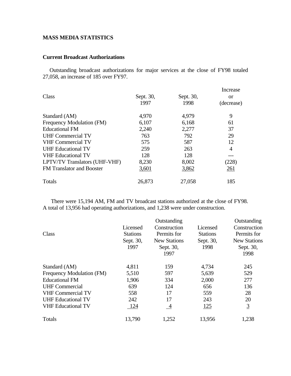## **MASS MEDIA STATISTICS**

#### **Current Broadcast Authorizations**

 Outstanding broadcast authorizations for major services at the close of FY98 totaled 27,058, an increase of 185 over FY97.

|                                  |           |           | Increase       |  |
|----------------------------------|-----------|-----------|----------------|--|
| Class                            | Sept. 30, | Sept. 30, | <b>or</b>      |  |
|                                  | 1997      | 1998      | (decrease)     |  |
| Standard (AM)                    | 4,970     | 4,979     | 9              |  |
| Frequency Modulation (FM)        | 6,107     | 6,168     | 61             |  |
| <b>Educational FM</b>            | 2,240     | 2,277     | 37             |  |
| <b>UHF Commercial TV</b>         | 763       | 792       | 29             |  |
| <b>VHF Commercial TV</b>         | 575       | 587       | 12             |  |
| <b>UHF Educational TV</b>        | 259       | 263       | $\overline{4}$ |  |
| <b>VHF</b> Educational TV        | 128       | 128       |                |  |
| LPTV/TV Translators (UHF-VHF)    | 8,230     | 8,002     | (228)          |  |
| <b>FM</b> Translator and Booster | 3,601     | 3,862     | 261            |  |
| Totals                           | 26,873    | 27,058    | 185            |  |

 There were 15,194 AM, FM and TV broadcast stations authorized at the close of FY98. A total of 13,956 had operating authorizations, and 1,238 were under construction.

|                           |                 | Outstanding         |                 |                     |  |
|---------------------------|-----------------|---------------------|-----------------|---------------------|--|
|                           | Licensed        | Construction        | Licensed        | Construction        |  |
| Class                     | <b>Stations</b> | Permits for         | <b>Stations</b> | Permits for         |  |
|                           | Sept. 30,       | <b>New Stations</b> | Sept. 30,       | <b>New Stations</b> |  |
|                           | 1997            | Sept. 30,           | 1998            | Sept. 30,           |  |
|                           |                 | 1997                |                 | 1998                |  |
| Standard (AM)             | 4,811           | 159                 | 4,734           | 245                 |  |
| Frequency Modulation (FM) | 5,510           | 597                 | 5,639           | 529                 |  |
| <b>Educational FM</b>     | 1,906           | 334                 | 2,000           | 277                 |  |
| <b>UHF Commercial</b>     | 639             | 124                 | 656             | 136                 |  |
| <b>VHF Commercial TV</b>  | 558             | 17                  | 559             | 28                  |  |
| <b>UHF Educational TV</b> | 242             | 17                  | 243             | 20                  |  |
| <b>VHF Educational TV</b> | 124             | $\frac{4}{1}$       | 125             | $\overline{3}$      |  |
| Totals                    | 13,790          | 1,252               | 13,956          | 1,238               |  |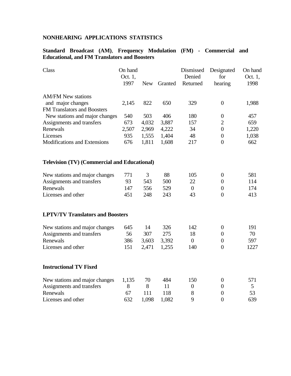## **NONHEARING APPLICATIONS STATISTICS**

## **Standard Broadcast (AM)**, **Frequency Modulation (FM) - Commercial and Educational, and FM Translators and Boosters**

| Class                                               | On hand |            |         | Dismissed        | Designated       | On hand |
|-----------------------------------------------------|---------|------------|---------|------------------|------------------|---------|
|                                                     | Oct. 1, |            |         | Denied           | for              | Oct. 1, |
|                                                     | 1997    | <b>New</b> | Granted | Returned         | hearing          | 1998    |
| <b>AM/FM New stations</b>                           |         |            |         |                  |                  |         |
| and major changes                                   | 2,145   | 822        | 650     | 329              | $\boldsymbol{0}$ | 1,988   |
| <b>FM Translators and Boosters</b>                  |         |            |         |                  |                  |         |
| New stations and major changes                      | 540     | 503        | 406     | 180              | $\boldsymbol{0}$ | 457     |
| Assignments and transfers                           | 673     | 4,032      | 3,887   | 157              | $\mathfrak{2}$   | 659     |
| Renewals                                            | 2,507   | 2,969      | 4,222   | 34               | $\boldsymbol{0}$ | 1,220   |
| Licenses                                            | 935     | 1,555      | 1,404   | 48               | $\boldsymbol{0}$ | 1,038   |
| Modifications and Extensions                        | 676     | 1,811      | 1,608   | 217              | $\overline{0}$   | 662     |
| <b>Television (TV) (Commercial and Educational)</b> |         |            |         |                  |                  |         |
| New stations and major changes                      | 771     | 3          | 88      | 105              | $\overline{0}$   | 581     |
| Assignments and transfers                           | 93      | 543        | 500     | 22               | $\overline{0}$   | 114     |
| Renewals                                            | 147     | 556        | 529     | $\overline{0}$   | $\overline{0}$   | 174     |
| Licenses and other                                  | 451     | 248        | 243     | 43               | $\Omega$         | 413     |
| <b>LPTV/TV Translators and Boosters</b>             |         |            |         |                  |                  |         |
| New stations and major changes                      | 645     | 14         | 326     | 142              | $\boldsymbol{0}$ | 191     |
| Assignments and transfers                           | 56      | 307        | 275     | 18               | $\overline{0}$   | 70      |
| Renewals                                            | 386     | 3,603      | 3,392   | $\boldsymbol{0}$ | $\overline{0}$   | 597     |
| Licenses and other                                  | 151     | 2,471      | 1,255   | 140              | $\Omega$         | 1227    |
| <b>Instructional TV Fixed</b>                       |         |            |         |                  |                  |         |
| New stations and major changes                      | 1,135   | 70         | 484     | 150              | $\overline{0}$   | 571     |
| Assignments and transfers                           | 8       | 8          | 11      | $\boldsymbol{0}$ | $\overline{0}$   | 5       |
| Renewals                                            | 67      | 111        | 118     | 8                | $\boldsymbol{0}$ | 53      |
| Licenses and other                                  | 632     | 1,098      | 1,082   | 9                | $\overline{0}$   | 639     |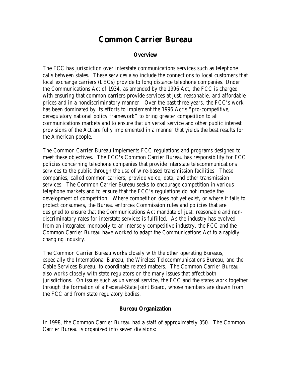## **Common Carrier Bureau**

## **Overview**

The FCC has jurisdiction over interstate communications services such as telephone calls between states. These services also include the connections to local customers that local exchange carriers (LECs) provide to long distance telephone companies. Under the Communications Act of 1934, as amended by the 1996 Act, the FCC is charged with ensuring that common carriers provide services at just, reasonable, and affordable prices and in a nondiscriminatory manner. Over the past three years, the FCC's work has been dominated by its efforts to implement the 1996 Act's "pro-competitive, deregulatory national policy framework" to bring greater competition to all communications markets and to ensure that universal service and other public interest provisions of the Act are fully implemented in a manner that yields the best results for the American people.

The Common Carrier Bureau implements FCC regulations and programs designed to meet these objectives. The FCC's Common Carrier Bureau has responsibility for FCC policies concerning telephone companies that provide interstate telecommunications services to the public through the use of wire-based transmission facilities. These companies, called common carriers, provide voice, data, and other transmission services. The Common Carrier Bureau seeks to encourage competition in various telephone markets and to ensure that the FCC's regulations do not impede the development of competition. Where competition does not yet exist, or where it fails to protect consumers, the Bureau enforces Commission rules and policies that are designed to ensure that the Communications Act mandate of just, reasonable and nondiscriminatory rates for interstate services is fulfilled. As the industry has evolved from an integrated monopoly to an intensely competitive industry, the FCC and the Common Carrier Bureau have worked to adapt the Communications Act to a rapidly changing industry.

The Common Carrier Bureau works closely with the other operating Bureaus, especially the International Bureau, the Wireless Telecommunications Bureau, and the Cable Services Bureau, to coordinate related matters. The Common Carrier Bureau also works closely with state regulators on the many issues that affect both jurisdictions. On issues such as universal service, the FCC and the states work together through the formation of a Federal-State Joint Board, whose members are drawn from the FCC and from state regulatory bodies.

#### **Bureau Organization**

In 1998, the Common Carrier Bureau had a staff of approximately 350. The Common Carrier Bureau is organized into seven divisions: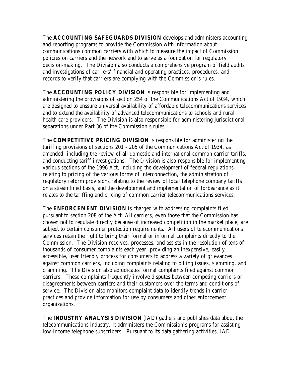The **ACCOUNTING SAFEGUARDS DIVISION** develops and administers accounting and reporting programs to provide the Commission with information about communications common carriers with which to measure the impact of Commission policies on carriers and the network and to serve as a foundation for regulatory decision-making. The Division also conducts a comprehensive program of field audits and investigations of carriers' financial and operating practices, procedures, and records to verify that carriers are complying with the Commission's rules.

The **ACCOUNTING POLICY DIVISION** is responsible for implementing and administering the provisions of section 254 of the Communications Act of 1934, which are designed to enssure universal availability of affordable telecommunications services and to extend the availability of advanced telecommunications to schools and rural health care providers. The Division is also responsible for administering jurisdictional separations under Part 36 of the Commission's rules.

The **COMPETITIVE PRICING DIVISION** is responsible for administering the tariffing provisions of sections 201 - 205 of the Communications Act of 1934, as amended, including the review of all domestic and international common carrier tariffs, and conducting tariff investigations. The Division is also responsible for implementing various sections of the 1996 Act, including the development of federal regulations relating to pricing of the various forms of interconnection, the administration of regulatory reform provisions relating to the review of local telephone company tariffs on a streamlined basis, and the development and implementation of forbearance as it relates to the tariffing and pricing of common carrier telecommunications services.

The **ENFORCEMENT DIVISION** is charged with addressing complaints filed pursuant to section 208 of the Act. All carriers, even those that the Commission has chosen not to regulate directly because of increased competition in the market place, are subject to certain consumer protection requirements. All users of telecommunications services retain the right to bring their formal or informal complaints directly to the Commission. The Division receives, processes, and assists in the resolution of tens of thousands of consumer complaints each year, providing an inexpensive, easily accessible, user friendly process for consumers to address a variety of grievances against common carriers, including complaints relating to billing issues, slamming, and cramming. The Division also adjudicates formal complaints filed against common carriers. These complaints frequently involve disputes between competing carriers or disagreements between carriers and their customers over the terms and conditions of service. The Division also monitors complaint data to identify trends in carrier practices and provide information for use by consumers and other enforcement organizations.

The **INDUSTRY ANALYSIS DIVISION** (IAD) gathers and publishes data about the telecommunications industry. It administers the Commission's programs for assisting low-income telephone subscribers. Pursuant to its data gathering activities, IAD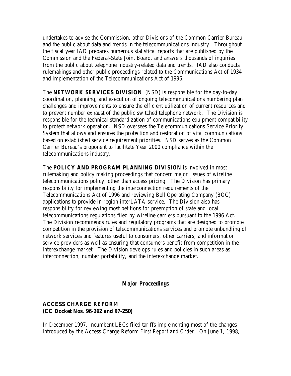undertakes to advise the Commission, other Divisions of the Common Carrier Bureau and the public about data and trends in the telecommunications industry. Throughout the fiscal year IAD prepares numerous statistical reports that are published by the Commission and the Federal-State Joint Board, and answers thousands of inquiries from the public about telephone industry-related data and trends. IAD also conducts rulemakings and other public proceedings related to the Communications Act of 1934 and implementation of the Telecommunications Act of 1996.

The **NETWORK SERVICES DIVISION** (NSD) is responsible for the day-to-day coordination, planning, and execution of ongoing telecommunications numbering plan challenges and improvements to ensure the efficient utilization of current resources and to prevent number exhaust of the public switched telephone network. The Division is responsible for the technical standardization of communications equipment compatibility to protect network operation. NSD oversees the Telecommunications Service Priority System that allows and ensures the protection and restoration of vital communications based on established service requirement priorities. NSD serves as the Common Carrier Bureau's proponent to facilitate Year 2000 compliance within the telecommunications industry.

The **POLICY AND PROGRAM PLANNING DIVISION** is involved in most rulemaking and policy making proceedings that concern major issues of wireline telecommunications policy, other than access pricing. The Division has primary responsibility for implementing the interconnection requirements of the Telecommunications Act of 1996 and reviewing Bell Operating Company (BOC) applications to provide in-region interLATA service. The Division also has responsibility for reviewing most petitions for preemption of state and local telecommunications regulations filed by wireline carriers pursuant to the 1996 Act. The Division recommends rules and regulatory programs that are designed to promote competition in the provision of telecommunications services and promote unbundling of network services and features useful to consumers, other carriers, and information service providers as well as ensuring that consumers benefit from competition in the interexchange market. The Division develops rules and policies in such areas as interconnection, number portability, and the interexchange market.

## **Major Proceedings**

## **ACCESS CHARGE REFORM (CC Docket Nos. 96-262 and 97-250)**

In December 1997, incumbent LECs filed tariffs implementing most of the changes introduced by the Access Charge Reform *First Report and Order*. On June 1, 1998,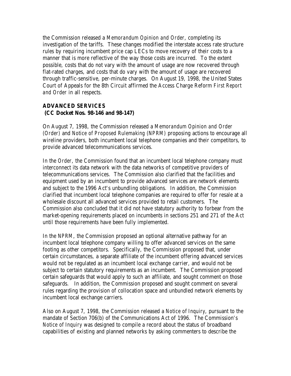the Commission released a *Memorandum Opinion and Order*, completing its investigation of the tariffs. These changes modified the interstate access rate structure rules by requiring incumbent price cap LECs to move recovery of their costs to a manner that is more reflective of the way those costs are incurred. To the extent possible, costs that do not vary with the amount of usage are now recovered through flat-rated charges, and costs that do vary with the amount of usage are recovered through traffic-sensitive, per-minute charges. On August 19, 1998, the United States Court of Appeals for the 8th Circuit affirmed the Access Charge Reform *First Report and Order* in all respects.

## **ADVANCED SERVICES (CC Docket Nos. 98-146 and 98-147)**

On August 7, 1998, the Commission released a *Memorandum Opinion and Order (Order)* and *Notice of Proposed Rulemaking (NPRM)* proposing actions to encourage all wireline providers, both incumbent local telephone companies and their competitors, to provide advanced telecommunications services.

In the *Order*, the Commission found that an incumbent local telephone company must interconnect its data network with the data networks of competitive providers of telecommunications services. The Commission also clarified that the facilities and equipment used by an incumbent to provide advanced services are network elements and subject to the 1996 Act's unbundling obligations. In addition, the Commission clarified that incumbent local telephone companies are required to offer for resale at a wholesale discount all advanced services provided to retail customers. The Commission also concluded that it did not have statutory authority to forbear from the market-opening requirements placed on incumbents in sections 251 and 271 of the Act until those requirements have been fully implemented.

In the *NPRM*, the Commission proposed an optional alternative pathway for an incumbent local telephone company willing to offer advanced services on the same footing as other competitors. Specifically, the Commission proposed that, under certain circumstances, a separate affiliate of the incumbent offering advanced services would not be regulated as an incumbent local exchange carrier, and would not be subject to certain statutory requirements as an incumbent. The Commission proposed certain safeguards that would apply to such an affiliate, and sought comment on those safeguards. In addition, the Commission proposed and sought comment on several rules regarding the provision of collocation space and unbundled network elements by incumbent local exchange carriers.

Also on August 7, 1998, the Commission released a *Notice of Inquiry*, pursuant to the mandate of Section 706(b) of the Communications Act of 1996. The Commission's *Notice of Inquiry* was designed to compile a record about the status of broadband capabilities of existing and planned networks by asking commenters to describe the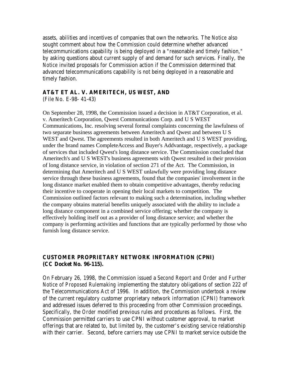assets, abilities and incentives of companies that own the networks. The *Notice* also sought comment about how the Commission could determine whether advanced telecommunications capability is being deployed in a "reasonable and timely fashion," by asking questions about current supply of and demand for such services. Finally, the *Notice* invited proposals for Commission action if the Commission determined that advanced telecommunications capability is not being deployed in a reasonable and timely fashion.

## **AT&T ET AL. V. AMERITECH, US WEST, AND**

(File No. E-98- 41-43)

On September 28, 1998, the Commission issued a decision in AT&T Corporation, et al. v. Ameritech Corporation, Qwest Communications Corp. and U S WEST Communications, Inc. resolving several formal complaints concerning the lawfulness of two separate business agreements between Ameritech and Qwest and between U S WEST and Qwest. The agreements resulted in both Ameritech and U S WEST providing, under the brand names CompleteAccess and Buyer's Addvantage, respectively, a package of services that included Qwest's long distance service. The Commission concluded that Ameritech's and U S WEST's business agreements with Qwest resulted in their provision of long distance service, in violation of section 271 of the Act. The Commission, in determining that Ameritech and U S WEST unlawfully were providing long distance service through these business agreements, found that the companies' involvement in the long distance market enabled them to obtain competitive advantages, thereby reducing their incentive to cooperate in opening their local markets to competition. The Commission outlined factors relevant to making such a determination, including whether the company obtains material benefits uniquely associated with the ability to include a long distance component in a combined service offering; whether the company is effectively holding itself out as a provider of long distance service; and whether the company is performing activities and functions that are typically performed by those who furnish long distance service.

## **CUSTOMER PROPRIETARY NETWORK INFORMATION (CPNI) (CC Docket No. 96-115).**

On February 26, 1998, the Commission issued a *Second Report and Order and Further Notice of Proposed Rulemaking* implementing the statutory obligations of section 222 of the Telecommunications Act of 1996. In addition, the Commission undertook a review of the current regulatory customer proprietary network information (CPNI) framework and addressed issues deferred to this proceeding from other Commission proceedings. Specifically, the *Order* modified previous rules and procedures as follows. First, the Commission permitted carriers to use CPNI without customer approval, to market offerings that are related to, but limited by, the customer's existing service relationship with their carrier. Second, before carriers may use CPNI to market service outside the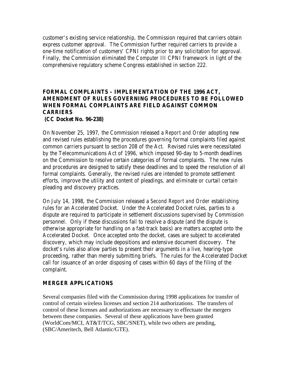customer's existing service relationship, the Commission required that carriers obtain express customer approval. The Commission further required carriers to provide a one-time notification of customers' CPNI rights prior to any solicitation for approval. Finally, the Commission eliminated the *Computer III* CPNI framework in light of the comprehensive regulatory scheme Congress established in section 222.

## **FORMAL COMPLAINTS – IMPLEMENTATION OF THE 1996 ACT, AMENDMENT OF RULES GOVERNING PROCEDURES TO BE FOLLOWED WHEN FORMAL COMPLAINTS ARE FIELD AGAINST COMMON CARRIERS (CC Docket No. 96-238)**

On November 25, 1997, the Commission released a *Report and Order* adopting new and revised rules establishing the procedures governing formal complaints filed against common carriers pursuant to section 208 of the Act. Revised rules were necessitated by the Telecommunications Act of 1996, which imposed 90-day to 5-month deadlines on the Commission to resolve certain categories of formal complaints. The new rules and procedures are designed to satisfy these deadlines and to speed the resolution of all formal complaints. Generally, the revised rules are intended to promote settlement efforts, improve the utility and content of pleadings, and eliminate or curtail certain pleading and discovery practices.

On July 14, 1998, the Commission released a *Second Report and Order* establishing rules for an Accelerated Docket. Under the Accelerated Docket rules, parties to a dispute are required to participate in settlement discussions supervised by Commission personnel. Only if these discussions fail to resolve a dispute (and the dispute is otherwise appropriate for handling on a fast-track basis) are matters accepted onto the Accelerated Docket. Once accepted onto the docket, cases are subject to accelerated discovery, which may include depositions and extensive document discovery. The docket's rules also allow parties to present their arguments in a live, hearing-type proceeding, rather than merely submitting briefs. The rules for the Accelerated Docket call for issuance of an order disposing of cases within 60 days of the filing of the complaint.

## **MERGER APPLICATIONS**

Several companies filed with the Commission during 1998 applications for transfer of control of certain wireless licenses and section 214 authorizations. The transfers of control of these licenses and authorizations are necessary to effectuate the mergers between these companies. Several of these applications have been granted (WorldCom/MCI, AT&T/TCG, SBC/SNET), while two others are pending, (SBC/Ameritech, Bell Atlantic/GTE).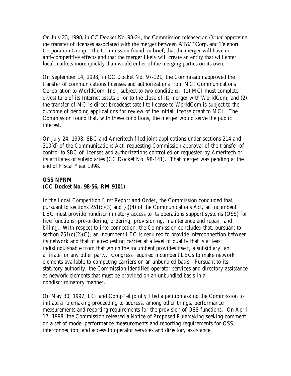On July 23, 1998, in CC Docket No. 98-24, the Commission released an *Order* approving the transfer of licenses associated with the merger between AT&T Corp. and Teleport Corporation Group. The Commission found, in brief, that the merger will have no anti-competitive effects and that the merger likely will create an entity that will enter local markets more quickly than would either of the merging parties on its own.

On September 14, 1998, in CC Docket No. 97-121, the Commission approved the transfer of communications licenses and authorizations from MCI Communications Corporation to WorldCom, Inc., subject to two conditions: (1) MCI must complete divestiture of its Internet assets prior to the close of its merger with WorldCom; and (2) the transfer of MCI's direct broadcast satellite license to WorldCom is subject to the outcome of pending applications for review of the initial license grant to MCI. The Commission found that, with these conditions, the merger would serve the public interest.

On July 24, 1998, SBC and Ameritech filed joint applications under sections 214 and 310(d) of the Communications Act, requesting Commission approval of the transfer of control to SBC of licenses and authorizations controlled or requested by Ameritech or its affiliates or subsidiaries (CC Docket No. 98-141). That merger was pending at the end of Fiscal Year 1998.

## **OSS NPRM (CC Docket No. 98-56, RM 9101)**

In the *Local Competition First Report and Order*, the Commission concluded that, pursuant to sections  $251(c)(3)$  and  $(c)(4)$  of the Communications Act, an incumbent LEC must provide nondiscriminatory access to its operations support systems (OSS) for five functions: pre-ordering, ordering, provisioning, maintenance and repair, and billing. With respect to interconnection, the Commission concluded that, pursuant to section  $251(c)(2)(C)$ , an incumbent LEC is required to provide interconnection between its network and that of a requesting carrier at a level of quality that is at least indistinguishable from that which the incumbent provides itself, a subsidiary, an affiliate, or any other party. Congress required incumbent LECs to make network elements available to competing carriers on an unbundled basis. Pursuant to its statutory authority, the Commission identified operator services and directory assistance as network elements that must be provided on an unbundled basis in a nondiscriminatory manner.

On May 30, 1997, LCI and CompTel jointly filed a petition asking the Commission to initiate a rulemaking proceeding to address, among other things, performance measurements and reporting requirements for the provision of OSS functions. On April 17, 1998, the Commission released a *Notice of Proposed Rulemaking* seeking comment on a set of model performance measurements and reporting requirements for OSS, interconnection, and access to operator services and directory assistance.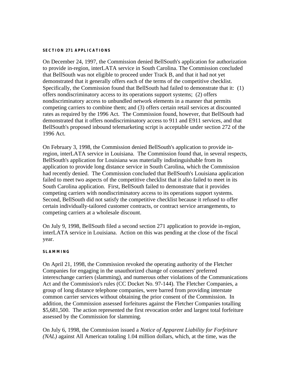#### **SECTION 271 APPLICATIONS**

On December 24, 1997, the Commission denied BellSouth's application for authorization to provide in-region, interLATA service in South Carolina. The Commission concluded that BellSouth was not eligible to proceed under Track B, and that it had not yet demonstrated that it generally offers each of the terms of the competitive checklist. Specifically, the Commission found that BellSouth had failed to demonstrate that it: (1) offers nondiscriminatory access to its operations support systems; (2) offers nondiscriminatory access to unbundled network elements in a manner that permits competing carriers to combine them; and (3) offers certain retail services at discounted rates as required by the 1996 Act. The Commission found, however, that BellSouth had demonstrated that it offers nondiscriminatory access to 911 and E911 services, and that BellSouth's proposed inbound telemarketing script is acceptable under section 272 of the 1996 Act.

On February 3, 1998, the Commission denied BellSouth's application to provide inregion, interLATA service in Louisiana. The Commission found that, in several respects, BellSouth's application for Louisiana was materially indistinguishable from its application to provide long distance service in South Carolina, which the Commission had recently denied. The Commission concluded that BellSouth's Louisiana application failed to meet two aspects of the competitive checklist that it also failed to meet in its South Carolina application. First, BellSouth failed to demonstrate that it provides competing carriers with nondiscriminatory access to its operations support systems. Second, BellSouth did not satisfy the competitive checklist because it refused to offer certain individually-tailored customer contracts, or contract service arrangements, to competing carriers at a wholesale discount.

On July 9, 1998, BellSouth filed a second section 271 application to provide in-region, interLATA service in Louisiana. Action on this was pending at the close of the fiscal year.

#### **SLAMMING**

On April 21, 1998, the Commission revoked the operating authority of the Fletcher Companies for engaging in the unauthorized change of consumers' preferred interexchange carriers (slamming), and numerous other violations of the Communications Act and the Commission's rules (CC Docket No. 97-144). The Fletcher Companies, a group of long distance telephone companies, were barred from providing interstate common carrier services without obtaining the prior consent of the Commission. In addition, the Commission assessed forfeitures against the Fletcher Companies totalling \$5,681,500. The action represented the first revocation order and largest total forfeiture assessed by the Commission for slamming.

On July 6, 1998, the Commission issued a *Notice of Apparent Liability for Forfeiture (NAL)* against All American totaling 1.04 million dollars, which, at the time, was the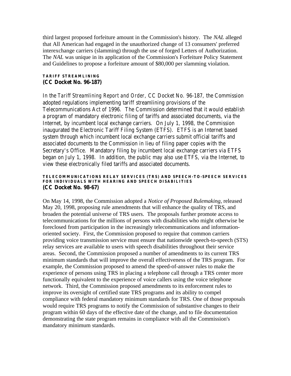third largest proposed forfeiture amount in the Commission's history. The *NAL* alleged that All American had engaged in the unauthorized change of 13 consumers' preferred interexchange carriers (slamming) through the use of forged Letters of Authorization. The *NAL* was unique in its application of the Commission's Forfeiture Policy Statement and Guidelines to propose a forfeiture amount of \$80,000 per slamming violation.

#### **TARIFF STREAMLINING (CC Docket No. 96-187)**

In the *Tariff Streamlining Report and Order*, CC Docket No. 96-187, the Commission adopted regulations implementing tariff streamlining provisions of the Telecommunications Act of 1996. The Commission determined that it would establish a program of mandatory electronic filing of tariffs and associated documents, via the Internet, by incumbent local exchange carriers. On July 1, 1998, the Commission inaugurated the Electronic Tariff Filing System (ETFS). ETFS is an Internet based system through which incumbent local exchange carriers submit official tariffs and associated documents to the Commission in lieu of filing paper copies with the Secretary's Office. Mandatory filing by incumbent local exchange carriers via ETFS began on July 1, 1998. In addition, the public may also use ETFS, via the Internet, to view these electronically filed tariffs and associated documents.

#### **TELECOMMUNICATIONS RELAY SERVICES (TRS) AND SPEECH-TO-SPEECH SERVICES FOR INDIVIDUALS WITH HEARING AND SPEECH DISABILITIES (CC Docket No. 98-67)**

On May 14, 1998, the Commission adopted a *Notice of Proposed Rulemaking*, released May 20, 1998, proposing rule amendments that will enhance the quality of TRS, and broaden the potential universe of TRS users. The proposals further promote access to telecommunications for the millions of persons with disabilities who might otherwise be foreclosed from participation in the increasingly telecommunications and informationoriented society. First, the Commission proposed to require that common carriers providing voice transmission service must ensure that nationwide speech-to-speech (STS) relay services are available to users with speech disabilities throughout their service areas. Second, the Commission proposed a number of amendments to its current TRS minimum standards that will improve the overall effectiveness of the TRS program. For example, the Commission proposed to amend the speed-of-answer rules to make the experience of persons using TRS in placing a telephone call through a TRS center more functionally equivalent to the experience of voice callers using the voice telephone network. Third, the Commission proposed amendments to its enforcement rules to improve its oversight of certified state TRS programs and its ability to compel compliance with federal mandatory minimum standards for TRS. One of those proposals would require TRS programs to notify the Commission of substantive changes to their program within 60 days of the effective date of the change, and to file documentation demonstrating the state program remains in compliance with all the Commission's mandatory minimum standards.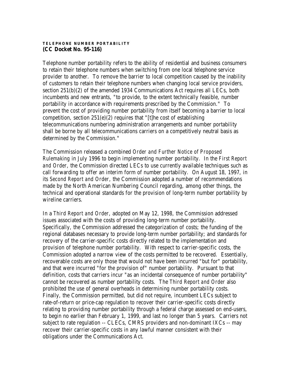#### **TELEPHONE NUMBER PORTABILITY (CC Docket No. 95-116)**

Telephone number portability refers to the ability of residential and business consumers to retain their telephone numbers when switching from one local telephone service provider to another. To remove the barrier to local competition caused by the inability of customers to retain their telephone numbers when changing local service providers, section 251(b)(2) of the amended 1934 Communications Act requires all LECs, both incumbents and new entrants, "to provide, to the extent technically feasible, number portability in accordance with requirements prescribed by the Commission." To prevent the cost of providing number portability from itself becoming a barrier to local competition, section  $251(e)(2)$  requires that "[t]he cost of establishing telecommunications numbering administration arrangements and number portability shall be borne by all telecommunications carriers on a competitively neutral basis as determined by the Commission."

The Commission released a combined *Order and Further Notice of Proposed Rulemaking* in July 1996 to begin implementing number portability. In the *First Report and Order*, the Commission directed LECs to use currently available techniques such as call forwarding to offer an interim form of number portability. On August 18, 1997, in its *Second Report and Order*, the Commission adopted a number of recommendations made by the North American Numbering Council regarding, among other things, the technical and operational standards for the provision of long-term number portability by wireline carriers.

In a *Third Report and Order*, adopted on May 12, 1998, the Commission addressed issues associated with the costs of providing long-term number portability. Specifically, the Commission addressed the categorization of costs; the funding of the regional databases necessary to provide long-term number portability; and standards for recovery of the carrier-specific costs directly related to the implementation and provision of telephone number portability. With respect to carrier-specific costs, the Commission adopted a narrow view of the costs permitted to be recovered. Essentially, recoverable costs are only those that would not have been incurred "but for" portability, and that were incurred "for the provision of" number portability. Pursuant to that definition, costs that carriers incur "as an incidental consequence of number portability" cannot be recovered as number portability costs. The *Third Report and Order* also prohibited the use of general overheads in determining number portability costs. Finally, the Commission permitted, but did not require, incumbent LECs subject to rate-of-return or price-cap regulation to recover their carrier-specific costs directly relating to providing number portability through a federal charge assessed on end-users, to begin no earlier than February 1, 1999, and last no longer than 5 years. Carriers not subject to rate regulation -- CLECs, CMRS providers and non-dominant IXCs -- may recover their carrier-specific costs in any lawful manner consistent with their obligations under the Communications Act.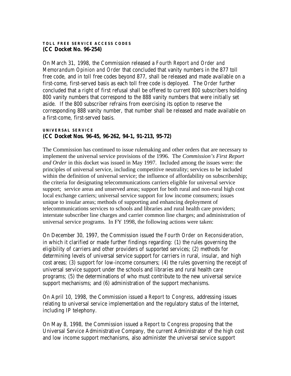#### **TOLL FREE SERVICE ACCESS CODES (CC Docket No. 96-254)**

On March 31, 1998, the Commission released a *Fourth Report and Order and Memorandum Opinion and Order* that concluded that vanity numbers in the 877 toll free code, and in toll free codes beyond 877, shall be released and made available on a first-come, first-served basis as each toll free code is deployed. The *Order* further concluded that a right of first refusal shall be offered to current 800 subscribers holding 800 vanity numbers that correspond to the 888 vanity numbers that were initially set aside. If the 800 subscriber refrains from exercising its option to reserve the corresponding 888 vanity number, that number shall be released and made available on a first-come, first-served basis.

### **UNIVERSAL SERVICE (CC Docket Nos. 96-45, 96-262, 94-1, 91-213, 95-72)**

The Commission has continued to issue rulemaking and other orders that are necessary to implement the universal service provisions of the 1996. The *Commission's First Report and Order* in this docket was issued in May 1997. Included among the issues were: the principles of universal service, including competitive neutrality; services to be included within the definition of universal service; the influence of affordability on subscribership; the criteria for designating telecommunications carriers eligible for universal service support; service areas and unserved areas; support for both rural and non-rural high cost local exchange carriers; universal service support for low income consumers; issues unique to insular areas; methods of supporting and enhancing deployment of telecommunications services to schools and libraries and rural health care providers; interstate subscriber line charges and carrier common line charges; and administration of universal service programs. In FY 1998, the following actions were taken:

On December 30, 1997, the Commission issued the *Fourth Order on Reconsideration*, in which it clarified or made further findings regarding: (1) the rules governing the eligibility of carriers and other providers of supported services; (2) methods for determining levels of universal service support for carriers in rural, insular, and high cost areas; (3) support for low-income consumers; (4) the rules governing the receipt of universal service support under the schools and libraries and rural health care programs; (5) the determinations of who must contribute to the new universal service support mechanisms; and (6) administration of the support mechanisms.

On April 10, 1998, the Commission issued a *Report to Congress*, addressing issues relating to universal service implementation and the regulatory status of the Internet, including IP telephony.

On May 8, 1998, the Commission issued a *Report to Congress* proposing that the Universal Service Administrative Company, the current Administrator of the high cost and low income support mechanisms, also administer the universal service support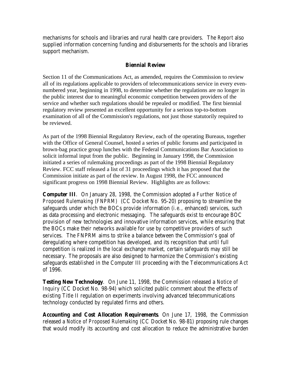mechanisms for schools and libraries and rural health care providers. The *Report* also supplied information concerning funding and disbursements for the schools and libraries support mechanism.

## **Biennial Review**

Section 11 of the Communications Act, as amended, requires the Commission to review all of its regulations applicable to providers of telecommunications service in every evennumbered year, beginning in 1998, to determine whether the regulations are no longer in the public interest due to meaningful economic competition between providers of the service and whether such regulations should be repealed or modified. The first biennial regulatory review presented an excellent opportunity for a serious top-to-bottom examination of all of the Commission's regulations, not just those statutorily required to be reviewed.

As part of the 1998 Biennial Regulatory Review, each of the operating Bureaus, together with the Office of General Counsel, hosted a series of public forums and participated in brown-bag practice group lunches with the Federal Communications Bar Association to solicit informal input from the public. Beginning in January 1998, the Commission initiated a series of rulemaking proceedings as part of the 1998 Biennial Regulatory Review. FCC staff released a list of 31 proceedings which it has proposed that the Commission initiate as part of the review. In August 1998, the FCC announced significant progress on 1998 Biennial Review. Highlights are as follows:

**Computer III**. On January 28, 1998, the Commission adopted a *Further Notice of Proposed Rulemaking (FNPRM)* (CC Docket No. 95-20) proposing to streamline the safeguards under which the BOCs provide information (*i.e.*, enhanced) services, such as data processing and electronic messaging. The safeguards exist to encourage BOC provision of new technologies and innovative information services, while ensuring that the BOCs make their networks available for use by competitive providers of such services. The FNPRM aims to strike a balance between the Commission's goal of deregulating where competition has developed, and its recognition that until full competition is realized in the local exchange market, certain safeguards may still be necessary. The proposals are also designed to harmonize the Commission's existing safeguards established in the Computer III proceeding with the Telecommunications Act of 1996.

**Testing New Technology**. On June 11, 1998, the Commission released a *Notice of Inquiry* (CC Docket No. 98-94) which solicited public comment about the effects of existing Title II regulation on experiments involving advanced telecommunications technology conducted by regulated firms and others.

**Accounting and Cost Allocation Requirements**. On June 17, 1998, the Commission released a *Notice of Proposed Rulemaking* (CC Docket No. 98-81) proposing rule changes that would modify its accounting and cost allocation to reduce the administrative burden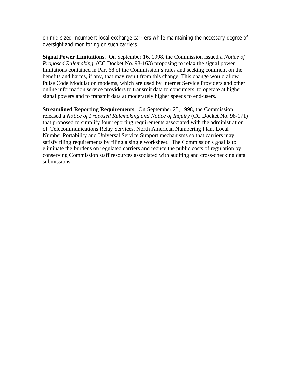on mid-sized incumbent local exchange carriers while maintaining the necessary degree of oversight and monitoring on such carriers.

**Signal Power Limitations.** On September 16, 1998, the Commission issued a *Notice of Proposed Rulemaking*, (CC Docket No. 98-163) proposing to relax the signal power limitations contained in Part 68 of the Commission's rules and seeking comment on the benefits and harms, if any, that may result from this change. This change would allow Pulse Code Modulation modems, which are used by Internet Service Providers and other online information service providers to transmit data to consumers, to operate at higher signal powers and to transmit data at moderately higher speeds to end-users.

**Streamlined Reporting Requirements**. On September 25, 1998, the Commission released a *Notice of Proposed Rulemaking and Notice of Inquiry* (CC Docket No. 98-171) that proposed to simplify four reporting requirements associated with the administration of Telecommunications Relay Services, North American Numbering Plan, Local Number Portability and Universal Service Support mechanisms so that carriers may satisfy filing requirements by filing a single worksheet. The Commission's goal is to eliminate the burdens on regulated carriers and reduce the public costs of regulation by conserving Commission staff resources associated with auditing and cross-checking data submissions.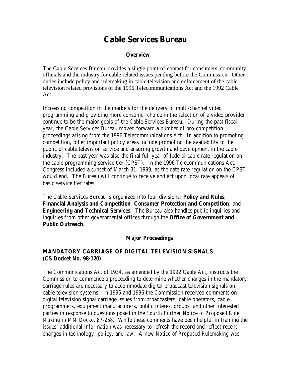## **Cable Services Bureau**

#### **Overview**

The Cable Services Bureau provides a single point-of-contact for consumers, community officials and the industry for cable related issues pending before the Commission. Other duties include policy and rulemaking in cable television and enforcement of the cable television related provisions of the 1996 Telecommunications Act and the 1992 Cable Act.

Increasing competition in the markets for the delivery of multi-channel video programming and providing more consumer choice in the selection of a video provider continue to be the major goals of the Cable Services Bureau. During the past fiscal year, the Cable Services Bureau moved forward a number of pro-competition proceedings arising from the 1996 Telecommunications Act. In addition to promoting competition, other important policy areas include promoting the availability to the public of cable television service and ensuring growth and development in the cable industry. The past year was also the final full year of federal cable rate regulation on the cable programming service tier (CPST). In the 1996 Telecommunications Act, Congress included a sunset of March 31, 1999, as the date rate regulation on the CPST would end. The Bureau will continue to receive and act upon local rate appeals of basic service tier rates.

The Cable Services Bureau is organized into four divisions: **Policy and Rules**, **Financial Analysis and Competition**, **Consumer Protection and Competition**, and **Engineering and Technical Services**. The Bureau also handles public inquiries and inquiries from other governmental offices through the **Office of Government and Public Outreach**.

#### **Major Proceedings**

## **MANDATORY CARRIAGE OF DIGITAL TELEVISION SIGNALS (CS Docket No. 98-120)**

The Communications Act of 1934, as amended by the 1992 Cable Act, instructs the Commission to commence a proceeding to determine whether changes in the mandatory carriage rules are necessary to accommodate digital broadcast television signals on cable television systems. In 1995 and 1996 the Commission received comments on digital television signal carriage issues from broadcasters, cable operators, cable programmers, equipment manufacturers, public interest groups, and other interested parties in response to questions posed in the *Fourth Further Notice of Proposed Rule Making in MM Docket 87-268*. While these comments have been helpful in framing the issues, additional information was necessary to refresh the record and reflect recent changes in technology, policy, and law. A new *Notice of Proposed Rulemaking* was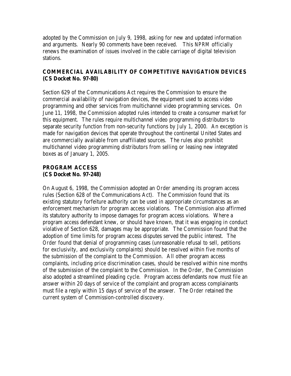adopted by the Commission on July 9, 1998, asking for new and updated information and arguments. Nearly 90 comments have been received. This *NPRM* officially renews the examination of issues involved in the cable carriage of digital television stations.

## **COMMERCIAL AVAILABILITY OF COMPETITIVE NAVIGATION DEVICES (CS Docket No. 97-80)**

Section 629 of the Communications Act requires the Commission to ensure the commercial availability of navigation devices, the equipment used to access video programming and other services from multichannel video programming services. On June 11, 1998, the Commission adopted rules intended to create a consumer market for this equipment. The rules require multichannel video programming distributors to separate security function from non-security functions by July 1, 2000. An exception is made for navigation devices that operate throughout the continental United States and are commercially available from unaffiliated sources. The rules also prohibit multichannel video programming distributors from selling or leasing new integrated boxes as of January 1, 2005.

## **PROGRAM ACCESS (CS Docket No. 97-248)**

On August 6, 1998, the Commission adopted an *Orde*r amending its program access rules (Section 628 of the Communications Act). The Commission found that its existing statutory forfeiture authority can be used in appropriate circumstances as an enforcement mechanism for program access violations. The Commission also affirmed its statutory authority to impose damages for program access violations. Where a program access defendant knew, or should have known, that it was engaging in conduct violative of Section 628, damages may be appropriate. The Commission found that the adoption of time limits for program access disputes served the public interest. The *Order* found that denial of programming cases (unreasonable refusal to sell, petitions for exclusivity, and exclusivity complaints) should be resolved within five months of the submission of the complaint to the Commission. All other program access complaints, including price discrimination cases, should be resolved within nine months of the submission of the complaint to the Commission. In the *Order*, the Commission also adopted a streamlined pleading cycle. Program access defendants now must file an answer within 20 days of service of the complaint and program access complainants must file a reply within 15 days of service of the answer. The *Order* retained the current system of Commission-controlled discovery.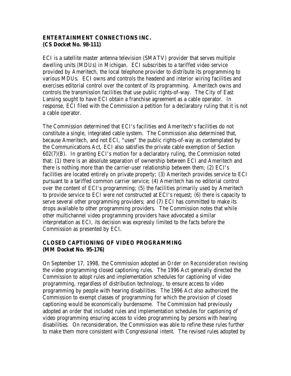## **ENTERTAINMENT CONNECTIONS INC. (CS Docket No. 98-111)**

ECI is a satellite master antenna television (SMATV) provider that serves multiple dwelling units (MDUs) in Michigan. ECI subscribes to a tariffed video service provided by Ameritech, the local telephone provider to distribute its programming to various MDUs. ECI owns and controls the headend and interior wiring facilities and exercises editorial control over the content of its programming. Ameritech owns and controls the transmission facilities that use public rights-of-way. The City of East Lansing sought to have ECI obtain a franchise agreement as a cable operator. In response, ECI filed with the Commission a petition for a declaratory ruling that it is not a cable operator.

The Commission determined that ECI's facilities and Ameritech's facilities do not constitute a single, integrated cable system. The Commission also determined that, because Ameritech, and not ECI, "uses" the public rights-of-way as contemplated by the Communications Act, ECI also satisfies the private cable exemption of Section 602(7)(B). In granting ECI's motion for a declaratory ruling, the Commission noted that: (1) there is an absolute separation of ownership between ECI and Ameritech and there is nothing more than the carrier-user relationship between them; (2) ECI's facilities are located entirely on private property; (3) Ameritech provides service to ECI pursuant to a tariffed common carrier service; (4) Ameritech has no editorial control over the content of ECI's programming; (5) the facilities primarily used by Ameritech to provide service to ECI were not constructed at ECI's request; (6) there is capacity to serve several other programming providers; and (7) ECI has committed to make its drops available to other programming providers. The Commission notes that while other multichannel video programming providers have advocated a similar interpretation as ECI, its decision was expressly limited to the facts before the Commission as presented by ECI.

## **CLOSED CAPTIONING OF VIDEO PROGRAMMING (MM Docket No. 95-176)**

On September 17, 1998, the Commission adopted an *Order on Reconsideration* revising the video programming closed captioning rules. The 1996 Act generally directed the Commission to adopt rules and implementation schedules for captioning of video programming, regardless of distribution technology, to ensure access to video programming by people with hearing disabilities. The 1996 Act also authorized the Commission to exempt classes of programming for which the provision of closed captioning would be economically burdensome. The Commission had previously adopted an order that included rules and implementation schedules for captioning of video programming ensuring access to video programming by persons with hearing disabilities. On reconsideration, the Commission was able to refine these rules further to make them more consistent with Congressional intent. The revised rules adopted by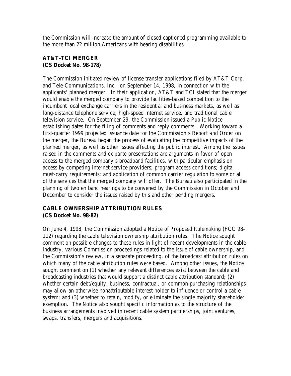the Commission will increase the amount of closed captioned programming available to the more than 22 million Americans with hearing disabilities.

## **AT&T-TCI MERGER (CS Docket No. 98-178)**

The Commission initiated review of license transfer applications filed by AT&T Corp. and Tele-Communications, Inc., on September 14, 1998, in connection with the applicants' planned merger. In their application, AT&T and TCI stated that the merger would enable the merged company to provide facilities-based competition to the incumbent local exchange carriers in the residential and business markets, as well as long-distance telephone service, high-speed internet service, and traditional cable television service. On September 29, the Commission issued a *Public Notice* establishing dates for the filing of comments and reply comments. Working toward a first-quarter 1999 projected issuance date for the Commission's R*eport and Order* on the merger, the Bureau began the process of evaluating the competitive impacts of the planned merger, as well as other issues affecting the public interest. Among the issues raised in the comments and *ex parte* presentations are arguments in favor of open access to the merged company's broadband facilities, with particular emphasis on access by competing internet service providers; program access conditions; digital must-carry requirements; and application of common carrier regulation to some or all of the services that the merged company will offer. The Bureau also participated in the planning of two en banc hearings to be convened by the Commission in October and December to consider the issues raised by this and other pending mergers.

## **CABLE OWNERSHIP ATTRIBUTION RULES (CS Docket No. 98-82)**

On June 4, 1998, the Commission adopted a *Notice of Proposed Rulemaking* (FCC 98- 112) regarding the cable television ownership attribution rules. The *Notice* sought comment on possible changes to these rules in light of recent developments in the cable industry, various Commission proceedings related to the issue of cable ownership, and the Commission's review, in a separate proceeding, of the broadcast attribution rules on which many of the cable attribution rules were based. Among other issues, the *Notice* sought comment on (1) whether any relevant differences exist between the cable and broadcasting industries that would support a distinct cable attribution standard; (2) whether certain debt/equity, business, contractual, or common purchasing relationships may allow an otherwise nonattributable interest holder to influence or control a cable system; and (3) whether to retain, modify, or eliminate the single majority shareholder exemption. The *Notice* also sought specific information as to the structure of the business arrangements involved in recent cable system partnerships, joint ventures, swaps, transfers, mergers and acquisitions.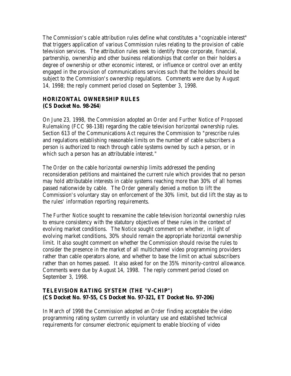The Commission's cable attribution rules define what constitutes a "cognizable interest" that triggers application of various Commission rules relating to the provision of cable television services. The attribution rules seek to identify those corporate, financial, partnership, ownership and other business relationships that confer on their holders a degree of ownership or other economic interest, or influence or control over an entity engaged in the provision of communications services such that the holders should be subject to the Commission's ownership regulations. Comments were due by August 14, 1998; the reply comment period closed on September 3, 1998.

## **HORIZONTAL OWNERSHIP RULES (CS Docket No. 98-264**)

On June 23, 1998, the Commission adopted an *Order and Further Notice of Proposed Rulemaking* (FCC 98-138) regarding the cable television horizontal ownership rules. Section 613 of the Communications Act requires the Commission to "prescribe rules and regulations establishing reasonable limits on the number of cable subscribers a person is authorized to reach through cable systems owned by such a person, or in which such a person has an attributable interest."

The *Order* on the cable horizontal ownership limits addressed the pending reconsideration petitions and maintained the current rule which provides that no person may hold attributable interests in cable systems reaching more than 30% of all homes passed nationwide by cable. The *Order* generally denied a motion to lift the Commission's voluntary stay on enforcement of the 30% limit, but did lift the stay as to the rules' information reporting requirements.

The *Further Notice* sought to reexamine the cable television horizontal ownership rules to ensure consistency with the statutory objectives of these rules in the context of evolving market conditions. The *Notice* sought comment on whether, in light of evolving market conditions, 30% should remain the appropriate horizontal ownership limit. It also sought comment on whether the Commission should revise the rules to consider the presence in the market of all multichannel video programming providers rather than cable operators alone, and whether to base the limit on actual subscribers rather than on homes passed. It also asked for on the 35% minority-control allowance. Comments were due by August 14, 1998. The reply comment period closed on September 3, 1998.

## **TELEVISION RATING SYSTEM (THE "V-CHIP") (CS Docket No. 97-55, CS Docket No. 97-321, ET Docket No. 97-206)**

In March of 1998 the Commission adopted an *Order* finding acceptable the video programming rating system currently in voluntary use and established technical requirements for consumer electronic equipment to enable blocking of video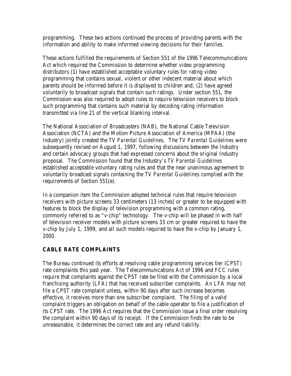programming. These two actions continued the process of providing parents with the information and ability to make informed viewing decisions for their families.

These actions fulfilled the requirements of Section 551 of the 1996 Telecommunications Act which required the Commission to determine whether video programming distributors (1) have established acceptable voluntary rules for rating video programming that contains sexual, violent or other indecent material about which parents should be informed before it is displayed to children and; (2) have agreed voluntarily to broadcast signals that contain such ratings. Under section 551, the Commission was also required to adopt rules to require television receivers to block such programming that contains such material by decoding rating information transmitted via line 21 of the vertical blanking interval.

The National Association of Broadcasters (NAB), the National Cable Television Association (NCTA) and the Motion Picture Association of America (MPAA) (the Industry) jointly created the *TV Parental Guidelines*. The *TV Parental Guidelines* were subsequently revised on August 1, 1997, following discussions between the Industry and certain advocacy groups that had expressed concerns about the original Industry proposal. The Commission found that the Industry's *TV Parental Guidelines* established acceptable voluntary rating rules and that the near unanimous agreement to voluntarily broadcast signals containing the *TV Parental Guidelines* complied with the requirements of Section 551(e).

In a companion item the Commission adopted technical rules that require television receivers with picture screens 33 centimeters (13 inches) or greater to be equipped with features to block the display of television programming with a common rating, commonly referred to as "v-chip" technology. The v-chip will be phased in with half of television receiver models with picture screens 33 cm or greater required to have the v-chip by July 1, 1999, and all such models required to have the v-chip by January 1, 2000.

## **CABLE RATE COMPLAINTS**

The Bureau continued its efforts at resolving cable programming services tier (CPST) rate complaints this past year. The Telecommunications Act of 1996 and FCC rules require that complaints against the CPST rate be filed with the Commission by a local franchising authority (LFA) that has received subscriber complaints. An LFA may not file a CPST rate complaint unless, within 90 days after such increase becomes effective, it receives more than one subscriber complaint. The filing of a valid complaint triggers an obligation on behalf of the cable operator to file a justification of its CPST rate. The 1996 Act requires that the Commission issue a final order resolving the complaint within 90 days of its receipt. If the Commission finds the rate to be unreasonable, it determines the correct rate and any refund liability.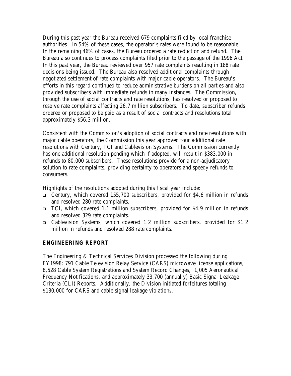During this past year the Bureau received 679 complaints filed by local franchise authorities. In 54% of these cases, the operator's rates were found to be reasonable. In the remaining 46% of cases, the Bureau ordered a rate reduction and refund. The Bureau also continues to process complaints filed prior to the passage of the 1996 Act. In this past year, the Bureau reviewed over 957 rate complaints resulting in 188 rate decisions being issued. The Bureau also resolved additional complaints through negotiated settlement of rate complaints with major cable operators. The Bureau's efforts in this regard continued to reduce administrative burdens on all parties and also provided subscribers with immediate refunds in many instances. The Commission, through the use of social contracts and rate resolutions, has resolved or proposed to resolve rate complaints affecting 26.7 million subscribers. To date, subscriber refunds ordered or proposed to be paid as a result of social contracts and resolutions total approximately \$56.3 million.

Consistent with the Commission's adoption of social contracts and rate resolutions with major cable operators, the Commission this year approved four additional rate resolutions with Century, TCI and Cablevision Systems. The Commission currently has one additional resolution pending which if adopted, will result in \$383,000 in refunds to 80,000 subscribers. These resolutions provide for a non-adjudicatory solution to rate complaints, providing certainty to operators and speedy refunds to consumers.

Highlights of the resolutions adopted during this fiscal year include:

- <sup>q</sup> Century, which covered 155,700 subscribers, provided for \$4.6 million in refunds and resolved 280 rate complaints.
- <sup>q</sup> TCI, which covered 1.1 million subscribers, provided for \$4.9 million in refunds and resolved 329 rate complaints.
- <sup>q</sup> Cablevision Systems, which covered 1.2 million subscribers, provided for \$1.2 million in refunds and resolved 288 rate complaints.

## **ENGINEERING REPORT**

The Engineering & Technical Services Division processed the following during FY1998: 791 Cable Television Relay Service (CARS) microwave license applications, 8,528 Cable System Registrations and System Record Changes, 1,005 Aeronautical Frequency Notifications, and approximately 33,700 (annually) Basic Signal Leakage Criteria (CLI) Reports. Additionally, the Division initiated forfeitures totaling \$130,000 for CARS and cable signal leakage violations.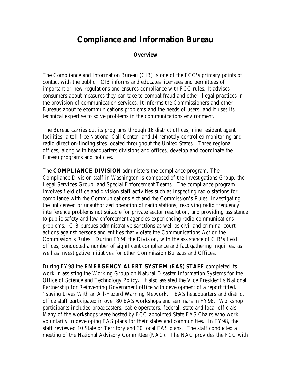# **Compliance and Information Bureau**

### **Overview**

The Compliance and Information Bureau (CIB) is one of the FCC's primary points of contact with the public. CIB informs and educates licensees and permittees of important or new regulations and ensures compliance with FCC rules. It advises consumers about measures they can take to combat fraud and other illegal practices in the provision of communication services. It informs the Commissioners and other Bureaus about telecommunications problems and the needs of users, and it uses its technical expertise to solve problems in the communications environment.

The Bureau carries out its programs through 16 district offices, nine resident agent facilities, a toll-free National Call Center, and 14 remotely controlled monitoring and radio direction-finding sites located throughout the United States. Three regional offices, along with headquarters divisions and offices, develop and coordinate the Bureau programs and policies.

The **COMPLIANCE DIVISION** administers the compliance program. The Compliance Division staff in Washington is composed of the Investigations Group, the Legal Services Group, and Special Enforcement Teams. The compliance program involves field office and division staff activities such as inspecting radio stations for compliance with the Communications Act and the Commission's Rules, investigating the unlicensed or unauthorized operation of radio stations, resolving radio frequency interference problems not suitable for private sector resolution, and providing assistance to public safety and law enforcement agencies experiencing radio communications problems. CIB pursues administrative sanctions as well as civil and criminal court actions against persons and entities that violate the Communications Act or the Commission's Rules. During FY98 the Division, with the assistance of CIB's field offices, conducted a number of significant compliance and fact gathering inquiries, as well as investigative initiatives for other Commission Bureaus and Offices.

During FY98 the **EMERGENCY ALERT SYSTEM (EAS) STAFF** completed its work in assisting the Working Group on Natural Disaster Information Systems for the Office of Science and Technology Policy. It also assisted the Vice President's National Partnership for Reinventing Government office with development of a report titled. "Saving Lives With an All-Hazard Warning Network." EAS headquarters and district office staff participated in over 80 EAS workshops and seminars in FY98. Workshop participants included broadcasters, cable operators, federal, state and local officials. Many of the workshops were hosted by FCC appointed State EAS Chairs who work voluntarily in developing EAS plans for their states and communities. In FY98, the staff reviewed 10 State or Territory and 30 local EAS plans. The staff conducted a meeting of the National Advisory Committee (NAC). The NAC provides the FCC with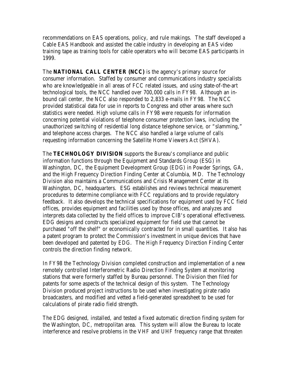recommendations on EAS operations, policy, and rule makings. The staff developed a Cable EAS Handbook and assisted the cable industry in developing an EAS video training tape as training tools for cable operators who will become EAS participants in 1999.

The **NATIONAL CALL CENTER (NCC)** is the agency's primary source for consumer information. Staffed by consumer and communications industry specialists who are knowledgeable in all areas of FCC related issues, and using state-of-the-art technological tools, the NCC handled over 700,000 calls in FY98. Although an inbound call center, the NCC also responded to 2,833 e-mails in FY98. The NCC provided statistical data for use in reports to Congress and other areas where such statistics were needed. High volume calls in FY98 were requests for information concerning potential violations of telephone consumer protection laws, including the unauthorized switching of residential long distance telephone service, or "slamming," and telephone access charges. The NCC also handled a large volume of calls requesting information concerning the Satellite Home Viewers Act (SHVA).

The **TECHNOLOGY DIVISION** supports the Bureau's compliance and public information functions through the Equipment and Standards Group (ESG) in Washington, DC, the Equipment Development Group (EDG) in Powder Springs, GA, and the High Frequency Direction Finding Center at Columbia, MD. The Technology Division also maintains a Communications and Crisis Management Center at its Washington, DC, headquarters. ESG establishes and reviews technical measurement procedures to determine compliance with FCC regulations and to provide regulatory feedback. It also develops the technical specifications for equipment used by FCC field offices, provides equipment and facilities used by those offices, and analyzes and interprets data collected by the field offices to improve CIB's operational effectiveness. EDG designs and constructs specialized equipment for field use that cannot be purchased "off the shelf" or economically contracted for in small quantities. It also has a patent program to protect the Commission's investment in unique devices that have been developed and patented by EDG. The High Frequency Direction Finding Center controls the direction finding network.

In FY98 the Technology Division completed construction and implementation of a new remotely controlled Interferometric Radio Direction Finding System at monitoring stations that were formerly staffed by Bureau personnel. The Division then filed for patents for some aspects of the technical design of this system. The Technology Division produced project instructions to be used when investigating pirate radio broadcasters, and modified and vetted a field-generated spreadsheet to be used for calculations of pirate radio field strength.

The EDG designed, installed, and tested a fixed automatic direction finding system for the Washington, DC, metropolitan area. This system will allow the Bureau to locate interference and resolve problems in the VHF and UHF frequency range that threaten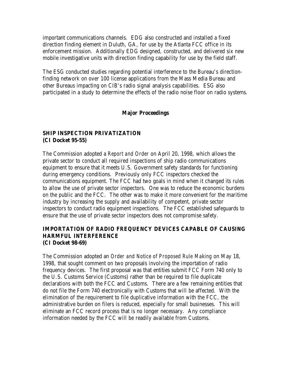important communications channels. EDG also constructed and installed a fixed direction finding element in Duluth, GA, for use by the Atlanta FCC office in its enforcement mission. Additionally EDG designed, constructed, and delivered six new mobile investigative units with direction finding capability for use by the field staff.

The ESG conducted studies regarding potential interference to the Bureau's directionfinding network on over 100 license applications from the Mass Media Bureau and other Bureaus impacting on CIB's radio signal analysis capabilities. ESG also participated in a study to determine the effects of the radio noise floor on radio systems.

## **Major Proceedings**

## **SHIP INSPECTION PRIVATIZATION (CI Docket 95-55)**

The Commission adopted a *Report and Order* on April 20, 1998, which allows the private sector to conduct all required inspections of ship radio communications equipment to ensure that it meets U.S. Government safety standards for functioning during emergency conditions. Previously only FCC inspectors checked the communications equipment. The FCC had two goals in mind when it changed its rules to allow the use of private sector inspectors. One was to reduce the economic burdens on the public and the FCC. The other was to make it more convenient for the maritime industry by increasing the supply and availability of competent, private sector inspectors to conduct radio equipment inspections. The FCC established safeguards to ensure that the use of private sector inspectors does not compromise safety.

### **IMPORTATION OF RADIO FREQUENCY DEVICES CAPABLE OF CAUSING HARMFUL INTERFERENCE (CI Docket 98-69)**

The Commission adopted an *Order and Notice of Proposed Rule Making* on May 18, 1998, that sought comment on two proposals involving the importation of radio frequency devices. The first proposal was that entities submit FCC Form 740 only to the U.S. Customs Service (Customs) rather than be required to file duplicate declarations with both the FCC and Customs. There are a few remaining entities that do not file the Form 740 electronically with Customs that will be affected. With the elimination of the requirement to file duplicative information with the FCC, the administrative burden on filers is reduced, especially for small businesses. This will eliminate an FCC record process that is no longer necessary. Any compliance information needed by the FCC will be readily available from Customs.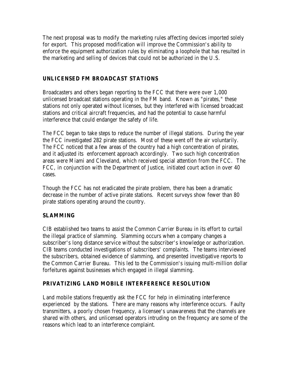The next proposal was to modify the marketing rules affecting devices imported solely for export. This proposed modification will improve the Commission's ability to enforce the equipment authorization rules by eliminating a loophole that has resulted in the marketing and selling of devices that could not be authorized in the U.S.

## **UNLICENSED FM BROADCAST STATIONS**

Broadcasters and others began reporting to the FCC that there were over 1,000 unlicensed broadcast stations operating in the FM band. Known as "pirates," these stations not only operated without licenses, but they interfered with licensed broadcast stations and critical aircraft frequencies, and had the potential to cause harmful interference that could endanger the safety of life.

The FCC began to take steps to reduce the number of illegal stations. During the year the FCC investigated 282 pirate stations. Most of these went off the air voluntarily. The FCC noticed that a few areas of the country had a high concentration of pirates, and it adjusted its enforcement approach accordingly. Two such high concentration areas were Miami and Cleveland, which received special attention from the FCC. The FCC, in conjunction with the Department of Justice, initiated court action in over 40 cases.

Though the FCC has not eradicated the pirate problem, there has been a dramatic decrease in the number of active pirate stations. Recent surveys show fewer than 80 pirate stations operating around the country.

## **SLAMMING**

CIB established two teams to assist the Common Carrier Bureau in its effort to curtail the illegal practice of slamming. Slamming occurs when a company changes a subscriber's long distance service without the subscriber's knowledge or authorization. CIB teams conducted investigations of subscribers' complaints. The teams interviewed the subscribers, obtained evidence of slamming, and presented investigative reports to the Common Carrier Bureau. This led to the Commission's issuing multi-million dollar forfeitures against businesses which engaged in illegal slamming.

## **PRIVATIZING LAND MOBILE INTERFERENCE RESOLUTION**

Land mobile stations frequently ask the FCC for help in eliminating interference experienced by the stations. There are many reasons why interference occurs. Faulty transmitters, a poorly chosen frequency, a licensee's unawareness that the channels are shared with others, and unlicensed operators intruding on the frequency are some of the reasons which lead to an interference complaint.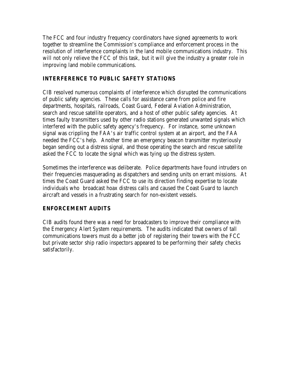The FCC and four industry frequency coordinators have signed agreements to work together to streamline the Commission's compliance and enforcement process in the resolution of interference complaints in the land mobile communications industry. This will not only relieve the FCC of this task, but it will give the industry a greater role in improving land mobile communications.

## **INTERFERENCE TO PUBLIC SAFETY STATIONS**

CIB resolved numerous complaints of interference which disrupted the communications of public safety agencies. These calls for assistance came from police and fire departments, hospitals, railroads, Coast Guard, Federal Aviation Administration, search and rescue satellite operators, and a host of other public safety agencies. At times faulty transmitters used by other radio stations generated unwanted signals which interfered with the public safety agency's frequency. For instance, some unknown signal was crippling the FAA's air traffic control system at an airport, and the FAA needed the FCC's help. Another time an emergency beacon transmitter mysteriously began sending out a distress signal, and those operating the search and rescue satellite asked the FCC to locate the signal which was tying up the distress system.

Sometimes the interference was deliberate. Police departments have found intruders on their frequencies masquerading as dispatchers and sending units on errant missions. At times the Coast Guard asked the FCC to use its direction finding expertise to locate individuals who broadcast hoax distress calls and caused the Coast Guard to launch aircraft and vessels in a frustrating search for non-existent vessels.

## **ENFORCEMENT AUDITS**

CIB audits found there was a need for broadcasters to improve their compliance with the Emergency Alert System requirements. The audits indicated that owners of tall communications towers must do a better job of registering their towers with the FCC but private sector ship radio inspectors appeared to be performing their safety checks satisfactorily.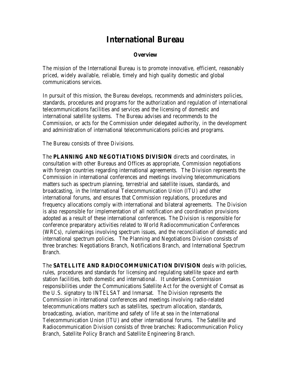# **International Bureau**

### **Overview**

The mission of the International Bureau is to promote innovative, efficient, reasonably priced, widely available, reliable, timely and high quality domestic and global communications services.

In pursuit of this mission, the Bureau develops, recommends and administers policies, standards, procedures and programs for the authorization and regulation of international telecommunications facilities and services and the licensing of domestic and international satellite systems. The Bureau advises and recommends to the Commission, or acts for the Commission under delegated authority, in the development and administration of international telecommunications policies and programs.

The Bureau consists of three Divisions.

The **PLANNING AND NEGOTIATIONS DIVISION** directs and coordinates, in consultation with other Bureaus and Offices as appropriate, Commission negotiations with foreign countries regarding international agreements. The Division represents the Commission in international conferences and meetings involving telecommunications matters such as spectrum planning, terrestrial and satellite issues, standards, and broadcasting, in the International Telecommunication Union (ITU) and other international forums, and ensures that Commission regulations, procedures and frequency allocations comply with international and bilateral agreements. The Division is also responsible for implementation of all notification and coordination provisions adopted as a result of these international conferences. The Division is responsible for conference preparatory activities related to World Radiocommunication Conferences (WRCs), rulemakings involving spectrum issues, and the reconciliation of domestic and international spectrum policies. The Planning and Negotiations Division consists of three branches: Negotiations Branch, Notifications Branch, and International Spectrum Branch.

The **SATELLITE AND RADIOCOMMUNICATION DIVISION** deals with policies, rules, procedures and standards for licensing and regulating satellite space and earth station facilities, both domestic and international. It undertakes Commission responsibilities under the Communications Satellite Act for the oversight of Comsat as the U.S. signatory to INTELSAT and Inmarsat. The Division represents the Commission in international conferences and meetings involving radio-related telecommunications matters such as satellites, spectrum allocation, standards, broadcasting, aviation, maritime and safety of life at sea in the International Telecommunication Union (ITU) and other international forums. The Satellite and Radiocommunication Division consists of three branches: Radiocommunication Policy Branch, Satellite Policy Branch and Satellite Engineering Branch.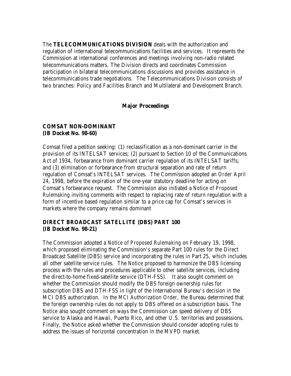The **TELECOMMUNICATIONS DIVISION** deals with the authorization and regulation of international telecommunications facilities and services. It represents the Commission at international conferences and meetings involving non-radio related telecommunications matters. The Division directs and coordinates Commission participation in bilateral telecommunications discussions and provides assistance in telecommunications trade negotiations. The Telecommunications Division consists of two branches: Policy and Facilities Branch and Multilateral and Development Branch.

### **Major Proceedings**

### **COMSAT NON-DOMINANT (IB Docket No. 98-60)**

Comsat filed a petition seeking: (1) reclassification as a non-dominant carrier in the provision of its INTELSAT services; (2) pursuant to Section 10 of the Communications Act of 1934, forbearance from dominant carrier regulation of its INTELSAT tariffs; and (3) elimination or forbearance from structural separation and rate of return regulation of Comsat's INTELSAT services. The Commission adopted an *Order* April 24, 1998, before the expiration of the one-year statutory deadline for acting on Comsat's forbearance request. The Commission also initiated a *Notice of Proposed Rulemaking* inviting comments with respect to replacing rate of return regulation with a form of incentive based regulation similar to a price cap for Comsat's services in markets where the company remains dominant

## **DIRECT BROADCAST SATELLITE (DBS) PART 100 (IB Docket No. 98-21)**

The Commission adopted a *Notice of Proposed Rulemaking* on February 19, 1998, which proposed eliminating the Commission's separate Part 100 rules for the Direct Broadcast Satellite (DBS) service and incorporating the rules in Part 25, which includes all other satellite service rules. The *Notice* proposed to harmonize the DBS licensing process with the rules and procedures applicable to other satellite services, including the direct-to-home fixed-satellite service (DTH-FSS). It also sought comment on whether the Commission should modify the DBS foreign ownership rules for subscription DBS and DTH-FSS in light of the International Bureau's decision in the MCI DBS authorization. In the *MCI Authorization Order*, the Bureau determined that the foreign ownership rules do not apply to DBS offered on a subscription basis. The *Notice* also sought comment on ways the Commission can speed delivery of DBS service to Alaska and Hawaii, Puerto Rico, and other U.S. territories and possessions. Finally, the *Notice* asked whether the Commission should consider adopting rules to address the issues of horizontal concentration in the MVPD market.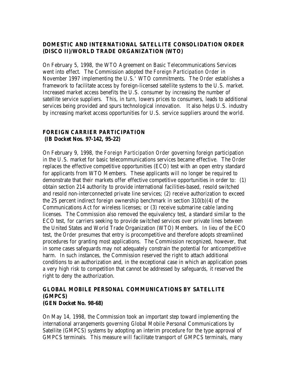## **DOMESTIC AND INTERNATIONAL SATELLITE CONSOLIDATION ORDER (DISCO II)/WORLD TRADE ORGANIZATION (WTO)**

On February 5, 1998, the WTO Agreement on Basic Telecommunications Services went into effect. The Commission adopted the *Foreign Participation Order* in November 1997 implementing the U.S.' WTO commitments. The *Order* establishes a framework to facilitate access by foreign-licensed satellite systems to the U.S. market. Increased market access benefits the U.S. consumer by increasing the number of satellite service suppliers. This, in turn, lowers prices to consumers, leads to additional services being provided and spurs technological innovation. It also helps U.S. industry by increasing market access opportunities for U.S. service suppliers around the world.

## **FOREIGN CARRIER PARTICIPATION (IB Docket Nos. 97-142, 95-22)**

On February 9, 1998, the *Foreign Participation Order* governing foreign participation in the U.S. market for basic telecommunications services became effective. The *Order* replaces the effective competitive opportunities (ECO) test with an open entry standard for applicants from WTO Members. These applicants will no longer be required to demonstrate that their markets offer effective competitive opportunities in order to: (1) obtain section 214 authority to provide international facilities-based, resold switched and resold non-interconnected private line services; (2) receive authorization to exceed the 25 percent indirect foreign ownership benchmark in section 310(b)(4) of the Communications Act for wireless licenses; or (3) receive submarine cable landing licenses. The Commission also removed the equivalency test, a standard similar to the ECO test, for carriers seeking to provide switched services over private lines between the United States and World Trade Organization (WTO) Members. In lieu of the ECO test, the *Order* presumes that entry is procompetitive and therefore adopts streamlined procedures for granting most applications. The Commission recognized, however, that in some cases safeguards may not adequately constrain the potential for anticompetitive harm. In such instances, the Commission reserved the right to attach additional conditions to an authorization and, in the exceptional case in which an application poses a very high risk to competition that cannot be addressed by safeguards, it reserved the right to deny the authorization.

### **GLOBAL MOBILE PERSONAL COMMUNICATIONS BY SATELLITE (GMPCS) (GEN Docket No. 98-68)**

On May 14, 1998, the Commission took an important step toward implementing the international arrangements governing Global Mobile Personal Communications by Satellite (GMPCS) systems by adopting an interim procedure for the type approval of GMPCS terminals. This measure will facilitate transport of GMPCS terminals, many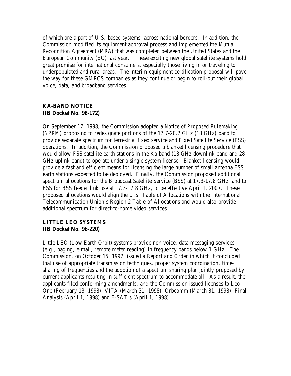of which are a part of U.S.-based systems, across national borders. In addition, the Commission modified its equipment approval process and implemented the *Mutual Recognition Agreement (MRA)* that was completed between the United States and the European Community (EC) last year. These exciting new global satellite systems hold great promise for international consumers, especially those living in or traveling to underpopulated and rural areas. The interim equipment certification proposal will pave the way for these GMPCS companies as they continue or begin to roll-out their global voice, data, and broadband services.

## **KA-BAND NOTICE (IB Docket No. 98-172)**

On September 17, 1998, the Commission adopted a *Notice of Proposed Rulemaking (NPRM)* proposing to redesignate portions of the 17.7-20.2 GHz (18 GHz) band to provide separate spectrum for terrestrial fixed service and Fixed Satellite Service (FSS) operations. In addition, the Commission proposed a blanket licensing procedure that would allow FSS satellite earth stations in the Ka-band (18 GHz downlink band and 28 GHz uplink band) to operate under a single system license. Blanket licensing would provide a fast and efficient means for licensing the large number of small antenna FSS earth stations expected to be deployed. Finally, the Commission proposed additional spectrum allocations for the Broadcast Satellite Service (BSS) at 17.3-17.8 GHz, and to FSS for BSS feeder link use at 17.3-17.8 GHz, to be effective April 1, 2007. These proposed allocations would align the U.S. Table of Allocations with the International Telecommunication Union's Region 2 Table of Allocations and would also provide additional spectrum for direct-to-home video services.

## **LITTLE LEO SYSTEMS (IB Docket No. 96-220)**

Little LEO (Low Earth Orbit) systems provide non-voice, data messaging services (e.g., paging, e-mail, remote meter reading) in frequency bands below 1 GHz. The Commission, on October 15, 1997, issued a *Report and Order* in which it concluded that use of appropriate transmission techniques, proper system coordination, timesharing of frequencies and the adoption of a spectrum sharing plan jointly proposed by current applicants resulting in sufficient spectrum to accommodate all. As a result, the applicants filed conforming amendments, and the Commission issued licenses to Leo One (February 13, 1998), VITA (March 31, 1998), Orbcomm (March 31, 1998), Final Analysis (April 1, 1998) and E-SAT's (April 1, 1998).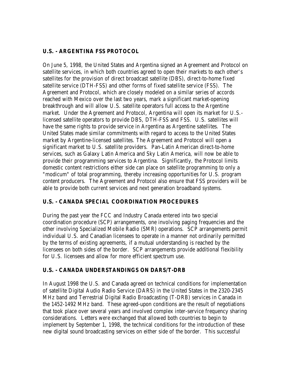## **U.S. - ARGENTINA FSS PROTOCOL**

On June 5, 1998, the United States and Argentina signed an Agreement and Protocol on satellite services, in which both countries agreed to open their markets to each other's satellites for the provision of direct broadcast satellite (DBS), direct-to-home fixed satellite service (DTH-FSS) and other forms of fixed satellite service (FSS). The Agreement and Protocol, which are closely modeled on a similar series of accords reached with Mexico over the last two years, mark a significant market-opening breakthrough and will allow U.S. satellite operators full access to the Argentine market. Under the Agreement and Protocol, Argentina will open its market for U.S. licensed satellite operators to provide DBS, DTH-FSS and FSS. U.S. satellites will have the same rights to provide service in Argentina as Argentine satellites. The United States made similar commitments with regard to access to the United States market by Argentine-licensed satellites. The Agreement and Protocol will open a significant market to U.S. satellite providers. Pan-Latin American direct-to-home services, such as Galaxy Latin America and Sky Latin America, will now be able to provide their programming services to Argentina. Significantly, the Protocol limits domestic content restrictions either side can place on satellite programming to only a "modicum" of total programming, thereby increasing opportunities for U.S. program content producers. The Agreement and Protocol also ensure that FSS providers will be able to provide both current services and next generation broadband systems.

## **U.S. - CANADA SPECIAL COORDINATION PROCEDURES**

During the past year the FCC and Industry Canada entered into two special coordination procedure (SCP) arrangements, one involving paging frequencies and the other involving Specialized Mobile Radio (SMR) operations. SCP arrangements permit individual U.S. and Canadian licensees to operate in a manner not ordinarily permitted by the terms of existing agreements, if a mutual understanding is reached by the licensees on both sides of the border. SCP arrangements provide additional flexibility for U.S. licensees and allow for more efficient spectrum use.

## **U.S. - CANADA UNDERSTANDINGS ON DARS/T-DRB**

In August 1998 the U.S. and Canada agreed on technical conditions for implementation of satellite Digital Audio Radio Service (DARS) in the United States in the 2320-2345 MHz band and Terrestrial Digital Radio Broadcasting (T-DRB) services in Canada in the 1452-1492 MHz band. These agreed-upon conditions are the result of negotiations that took place over several years and involved complex inter-service frequency sharing considerations. Letters were exchanged that allowed both countries to begin to implement by September 1, 1998, the technical conditions for the introduction of these new digital sound broadcasting services on either side of the border. This successful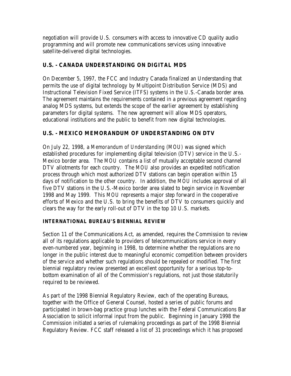negotiation will provide U.S. consumers with access to innovative CD quality audio programming and will promote new communications services using innovative satellite-delivered digital technologies.

## **U.S. - CANADA UNDERSTANDING ON DIGITAL MDS**

On December 5, 1997, the FCC and Industry Canada finalized an Understanding that permits the use of digital technology by Multipoint Distribution Service (MDS) and Instructional Television Fixed Service (ITFS) systems in the U.S.-Canada border area. The agreement maintains the requirements contained in a previous agreement regarding analog MDS systems, but extends the scope of the earlier agreement by establishing parameters for digital systems. The new agreement will allow MDS operators, educational institutions and the public to benefit from new digital technologies.

## **U.S. - MEXICO MEMORANDUM OF UNDERSTANDING ON DTV**

On July 22, 1998, a *Memorandum of Understanding (MOU)* was signed which established procedures for implementing digital television (DTV) service in the U.S.- Mexico border area. The *MOU* contains a list of mutually acceptable second channel DTV allotments for each country. The *MOU* also provides an expedited notification process through which most authorized DTV stations can begin operation within 15 days of notification to the other country. In addition, the *MOU* includes approval of all five DTV stations in the U.S.-Mexico border area slated to begin service in November 1998 and May 1999. This *MOU* represents a major step forward in the cooperative efforts of Mexico and the U.S. to bring the benefits of DTV to consumers quickly and clears the way for the early roll-out of DTV in the top 10 U.S. markets.

## **INTERNATIONAL BUREAU'S BIENNIAL REVIEW**

Section 11 of the Communications Act, as amended, requires the Commission to review all of its regulations applicable to providers of telecommunications service in every even-numbered year, beginning in 1998, to determine whether the regulations are no longer in the public interest due to meaningful economic competition between providers of the service and whether such regulations should be repealed or modified. The first biennial regulatory review presented an excellent opportunity for a serious top-tobottom examination of all of the Commission's regulations, not just those statutorily required to be reviewed.

As part of the 1998 Biennial Regulatory Review, each of the operating Bureaus, together with the Office of General Counsel, hosted a series of public forums and participated in brown-bag practice group lunches with the Federal Communications Bar Association to solicit informal input from the public. Beginning in January 1998 the Commission initiated a series of rulemaking proceedings as part of the 1998 Biennial Regulatory Review. FCC staff released a list of 31 proceedings which it has proposed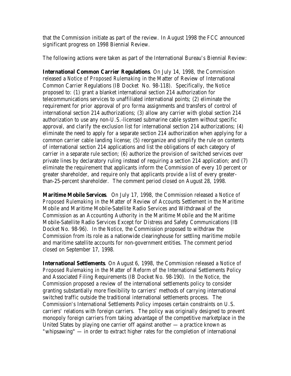that the Commission initiate as part of the review. In August 1998 the FCC announced significant progress on 1998 Biennial Review.

The following actions were taken as part of the International Bureau's Biennial Review:

**International Common Carrier Regulations**. On July 14, 1998, the Commission released a *Notice of Proposed Rulemaking* in the Matter of Review of International Common Carrier Regulations (IB Docket No. 98-118). Specifically, the *Notice* proposed to: (1) grant a blanket international section 214 authorization for telecommunications services to unaffiliated international points; (2) eliminate the requirement for prior approval of *pro forma* assignments and transfers of control of international section 214 authorizations; (3) allow any carrier with global section 214 authorization to use any non-U.S.-licensed submarine cable system without specific approval, and clarify the exclusion list for international section 214 authorizations; (4) eliminate the need to apply for a separate section 214 authorization when applying for a common carrier cable landing license; (5) reorganize and simplify the rule on contents of international section 214 applications and list the obligations of each category of carrier in a separate rule section; (6) authorize the provision of switched services over private lines by declaratory ruling instead of requiring a section 214 application; and (7) eliminate the requirement that applicants inform the Commission of every 10 percent or greater shareholder, and require only that applicants provide a list of every greaterthan-25-percent shareholder. The comment period closed on August 28, 1998.

**Maritime Mobile Services**. On July 17, 1998, the Commission released a *Notice of Proposed Rulemaking* in the Matter of Review of Accounts Settlement in the Maritime Mobile and Maritime Mobile-Satellite Radio Services and Withdrawal of the Commission as an Accounting Authority in the Maritime Mobile and the Maritime Mobile-Satellite Radio Services Except for Distress and Safety Communications (IB Docket No. 98-96). In the *Notice*, the Commission proposed to withdraw the Commission from its role as a nationwide clearinghouse for settling maritime mobile and maritime satellite accounts for non-government entities. The comment period closed on September 17, 1998.

**International Settlements**. On August 6, 1998, the Commission released a *Notice of Proposed Rulemaking* in the Matter of Reform of the International Settlements Policy and Associated Filing Requirements (IB Docket No. 98-190). In the *Notice*, the Commission proposed a review of the international settlements policy to consider granting substantially more flexibility to carriers' methods of carrying international switched traffic outside the traditional international settlements process. The Commission's International Settlements Policy imposes certain constraints on U.S. carriers' relations with foreign carriers. The policy was originally designed to prevent monopoly foreign carriers from taking advantage of the competitive marketplace in the United States by playing one carrier off against another  $-$  a practice known as "whipsawing" — in order to extract higher rates for the completion of international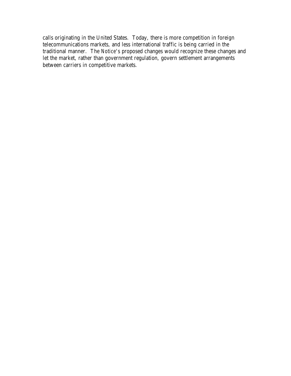calls originating in the United States. Today, there is more competition in foreign telecommunications markets, and less international traffic is being carried in the traditional manner. The *Notice*'s proposed changes would recognize these changes and let the market, rather than government regulation, govern settlement arrangements between carriers in competitive markets.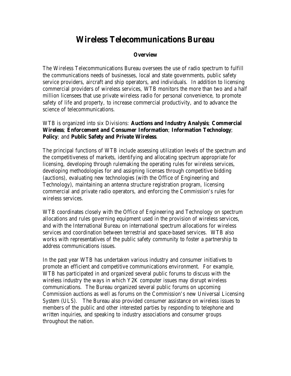# **Wireless Telecommunications Bureau**

## **Overview**

The Wireless Telecommunications Bureau oversees the use of radio spectrum to fulfill the communications needs of businesses, local and state governments, public safety service providers, aircraft and ship operators, and individuals. In addition to licensing commercial providers of wireless services, WTB monitors the more than two and a half million licensees that use private wireless radio for personal convenience, to promote safety of life and property, to increase commercial productivity, and to advance the science of telecommunications.

WTB is organized into six Divisions: **Auctions and Industry Analysis**; **Commercial Wireless**; **Enforcement and Consumer Information**; **Information Technology**; **Policy**; and **Public Safety and Private Wireless**.

The principal functions of WTB include assessing utilization levels of the spectrum and the competitiveness of markets, identifying and allocating spectrum appropriate for licensing, developing through rulemaking the operating rules for wireless services, developing methodologies for and assigning licenses through competitive bidding (auctions), evaluating new technologies (with the Office of Engineering and Technology), maintaining an antenna structure registration program, licensing commercial and private radio operators, and enforcing the Commission's rules for wireless services.

WTB coordinates closely with the Office of Engineering and Technology on spectrum allocations and rules governing equipment used in the provision of wireless services, and with the International Bureau on international spectrum allocations for wireless services and coordination between terrestrial and space-based services. WTB also works with representatives of the public safety community to foster a partnership to address communications issues.

In the past year WTB has undertaken various industry and consumer initiatives to promote an efficient and competitive communications environment. For example, WTB has participated in and organized several public forums to discuss with the wireless industry the ways in which Y2K computer issues may disrupt wireless communications. The Bureau organized several public forums on upcoming Commission auctions as well as forums on the Commission's new Universal Licensing System (ULS). The Bureau also provided consumer assistance on wireless issues to members of the public and other interested parties by responding to telephone and written inquiries, and speaking to industry associations and consumer groups throughout the nation.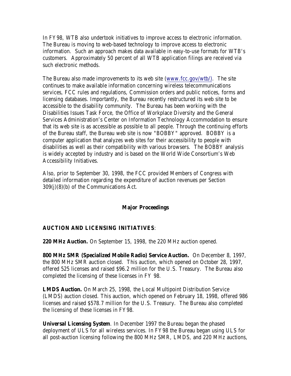In FY98, WTB also undertook initiatives to improve access to electronic information. The Bureau is moving to web-based technology to improve access to electronic information. Such an approach makes data available in easy-to-use formats for WTB's customers. Approximately 50 percent of all WTB application filings are received via such electronic methods.

The Bureau also made improvements to its web site (www.fcc.gov/wtb/). The site continues to make available information concerning wireless telecommunications services, FCC rules and regulations, Commission orders and public notices, forms and licensing databases. Importantly, the Bureau recently restructured its web site to be accessible to the disability community. The Bureau has been working with the Disabilities Issues Task Force, the Office of Workplace Diversity and the General Services Administration's Center on Information Technology Accommodation to ensure that its web site is as accessible as possible to all people. Through the continuing efforts of the Bureau staff, the Bureau web site is now "BOBBY" approved. BOBBY is a computer application that analyzes web sites for their accessibility to people with disabilities as well as their compatibility with various browsers. The BOBBY analysis is widely accepted by industry and is based on the World Wide Consortium's Web Accessibility Initiatives.

Also, prior to September 30, 1998, the FCC provided Members of Congress with detailed information regarding the expenditure of auction revenues per Section 309(j)(8)(b) of the Communications Act.

## **Major Proceedings**

## **AUCTION AND LICENSING INITIATIVES**:

**220 MHz Auction.** On September 15, 1998, the 220 MHz auction opened.

**800 MHz SMR (Specialized Mobile Radio) Service Auction.** On December 8, 1997, the 800 MHz SMR auction closed. This auction, which opened on October 28, 1997, offered 525 licenses and raised \$96.2 million for the U.S. Treasury. The Bureau also completed the licensing of these licenses in FY 98.

**LMDS Auction.** On March 25, 1998, the Local Multipoint Distribution Service (LMDS) auction closed. This auction, which opened on February 18, 1998, offered 986 licenses and raised \$578.7 million for the U.S. Treasury. The Bureau also completed the licensing of these licenses in FY98.

**Universal Licensing System**. In December 1997 the Bureau began the phased deployment of ULS for all wireless services. In FY98 the Bureau began using ULS for all post-auction licensing following the 800 MHz SMR, LMDS, and 220 MHz auctions,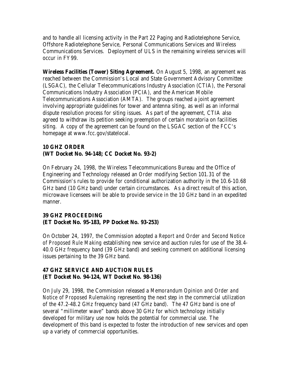and to handle all licensing activity in the Part 22 Paging and Radiotelephone Service, Offshore Radiotelephone Service, Personal Communications Services and Wireless Communications Services. Deployment of ULS in the remaining wireless services will occur in FY99.

**Wireless Facilities (Tower) Siting Agreement.** On August 5, 1998, an agreement was reached between the Commission's Local and State Government Advisory Committee (LSGAC), the Cellular Telecommunications Industry Association (CTIA), the Personal Communications Industry Association (PCIA), and the American Mobile Telecommunications Association (AMTA). The groups reached a joint agreement involving appropriate guidelines for tower and antenna siting, as well as an informal dispute resolution process for siting issues. As part of the agreement, CTIA also agreed to withdraw its petition seeking preemption of certain moratoria on facilities siting. A copy of the agreement can be found on the LSGAC section of the FCC's homepage at www.fcc.gov/statelocal.

## **10 GHZ ORDER (WT Docket No. 94-148; CC Docket No. 93-2)**

On February 24, 1998, the Wireless Telecommunications Bureau and the Office of Engineering and Technology released an *Order* modifying Section 101.31 of the Commission's rules to provide for conditional authorization authority in the 10.6-10.68 GHz band (10 GHz band) under certain circumstances. As a direct result of this action, microwave licensees will be able to provide service in the 10 GHz band in an expedited manner.

## **39 GHZ PROCEEDING (ET Docket No. 95-183, PP Docket No. 93-253)**

On October 24, 1997, the Commission adopted a *Report and Order and Second Notice of Proposed Rule Making* establishing new service and auction rules for use of the 38.4- 40.0 GHz frequency band (39 GHz band) and seeking comment on additional licensing issues pertaining to the 39 GHz band.

## **47 GHZ SERVICE AND AUCTION RULES (ET Docket No. 94-124, WT Docket No. 98-136)**

On July 29, 1998, the Commission released a *Memorandum Opinion and Order and Notice of Proposed Rulemaking* representing the next step in the commercial utilization of the 47.2-48.2 GHz frequency band (47 GHz band). The 47 GHz band is one of several "millimeter wave" bands above 30 GHz for which technology initially developed for military use now holds the potential for commercial use. The development of this band is expected to foster the introduction of new services and open up a variety of commercial opportunities.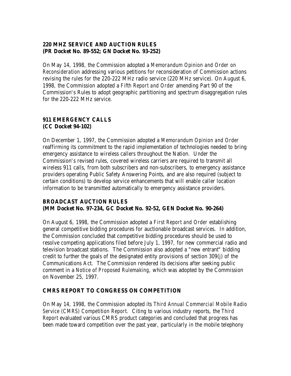## **220 MHZ SERVICE AND AUCTION RULES (PR Docket No. 89-552; GN Docket No. 93-252)**

On May 14, 1998, the Commission adopted a *Memorandum Opinion and Order on Reconsideration* addressing various petitions for reconsideration of Commission actions revising the rules for the 220-222 MHz radio service (220 MHz service). On August 6, 1998, the Commission adopted a *Fifth Report and Order* amending Part 90 of the Commission's Rules to adopt geographic partitioning and spectrum disaggregation rules for the 220-222 MHz service.

## **911 EMERGENCY CALLS (CC Docket 94-102)**

On December 1, 1997, the Commission adopted a *Memorandum Opinion and Order* reaffirming its commitment to the rapid implementation of technologies needed to bring emergency assistance to wireless callers throughout the Nation. Under the Commission's revised rules, covered wireless carriers are required to transmit all wireless 911 calls, from both subscribers and non-subscribers, to emergency assistance providers operating Public Safety Answering Points, and are also required (subject to certain conditions) to develop service enhancements that will enable caller location information to be transmitted automatically to emergency assistance providers.

## **BROADCAST AUCTION RULES (MM Docket No. 97-234, GC Docket No. 92-52, GEN Docket No. 90-264)**

On August 6, 1998, the Commission adopted a *First Report and Order* establishing general competitive bidding procedures for auctionable broadcast services. In addition, the Commission concluded that competitive bidding procedures should be used to resolve competing applications filed before July 1, 1997, for new commercial radio and television broadcast stations. The Commission also adopted a "new entrant" bidding credit to further the goals of the designated entity provisions of section 309(j) of the Communications Act. The Commission rendered its decisions after seeking public comment in a *Notice of Proposed Rulemaking*, which was adopted by the Commission on November 25, 1997.

## **CMRS REPORT TO CONGRESS ON COMPETITION**

On May 14, 1998, the Commission adopted its *Third Annual Commercial Mobile Radio Service (CMRS) Competition Report.* Citing to various industry reports, the *Third Report* evaluated various CMRS product categories and concluded that progress has been made toward competition over the past year, particularly in the mobile telephony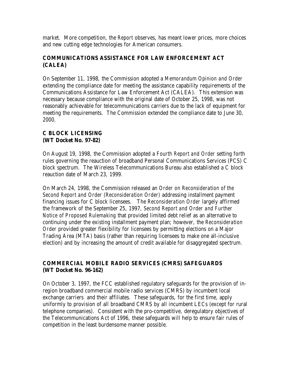market. More competition, the *Report* observes, has meant lower prices, more choices and new cutting edge technologies for American consumers.

## **COMMUNICATIONS ASSISTANCE FOR LAW ENFORCEMENT ACT (CALEA)**

On September 11, 1998, the Commission adopted a *Memorandum Opinion and Order* extending the compliance date for meeting the assistance capability requirements of the Communications Assistance for Law Enforcement Act (CALEA). This extension was necessary because compliance with the original date of October 25, 1998, was not reasonably achievable for telecommunications carriers due to the lack of equipment for meeting the requirements. The Commission extended the compliance date to June 30, 2000.

## **C BLOCK LICENSING (WT Docket No. 97-82)**

On August 19, 1998, the Commission adopted a *Fourth Report and Order* setting forth rules governing the reauction of broadband Personal Communications Services (PCS) C block spectrum. The Wireless Telecommunications Bureau also established a C block reauction date of March 23, 1999.

On March 24, 1998, the Commission released an *Order on Reconsideration of the Second Report and Order (Reconsideration Order)* addressing installment payment financing issues for C block licensees. The *Reconsideration Order* largely affirmed the framework of the September 25, 1997, *Second Report and Order and Further Notice of Proposed Rulemaking* that provided limited debt relief as an alternative to continuing under the existing installment payment plan; however, the *Reconsideration Order* provided greater flexibility for licensees by permitting elections on a Major Trading Area (MTA) basis (rather than requiring licensees to make one all-inclusive election) and by increasing the amount of credit available for disaggregated spectrum.

## **COMMERCIAL MOBILE RADIO SERVICES (CMRS) SAFEGUARDS (WT Docket No. 96-162)**

On October 3, 1997, the FCC established regulatory safeguards for the provision of inregion broadband commercial mobile radio services (CMRS) by incumbent local exchange carriers and their affiliates. These safeguards, for the first time, apply uniformly to provision of all broadband CMRS by all incumbent LECs (except for rural telephone companies). Consistent with the pro-competitive, deregulatory objectives of the Telecommunications Act of 1996, these safeguards will help to ensure fair rules of competition in the least burdensome manner possible.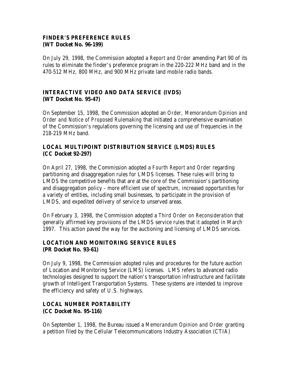## **FINDER'S PREFERENCE RULES (WT Docket No. 96-199)**

On July 29, 1998, the Commission adopted a *Report and Order* amending Part 90 of its rules to eliminate the finder's preference program in the 220-222 MHz band and in the 470-512 MHz, 800 MHz, and 900 MHz private land mobile radio bands.

## **INTERACTIVE VIDEO AND DATA SERVICE (IVDS) (WT Docket No. 95-47)**

On September 15, 1998, the Commission adopted an *Order, Memorandum Opinion and Order and Notice of Proposed Rulemaking* that initiated a comprehensive examination of the Commission's regulations governing the licensing and use of frequencies in the 218-219 MHz band.

## **LOCAL MULTIPOINT DISTRIBUTION SERVICE (LMDS) RULES (CC Docket 92-297)**

On April 27, 1998, the Commission adopted a *Fourth Report and Order* regarding partitioning and disaggregation rules for LMDS licenses. These rules will bring to LMDS the competitive benefits that are at the core of the Commission's partitioning and disaggregation policy - more efficient use of spectrum, increased opportunities for a variety of entities, including small businesses, to participate in the provision of LMDS, and expedited delivery of service to unserved areas.

On February 3, 1998, the Commission adopted a *Third Order on Reconsideration* that generally affirmed key provisions of the LMDS service rules that it adopted in March 1997. This action paved the way for the auctioning and licensing of LMDS services.

## **LOCATION AND MONITORING SERVICE RULES (PR Docket No. 93-61)**

On July 9, 1998, the Commission adopted rules and procedures for the future auction of Location and Monitoring Service (LMS) licenses. LMS refers to advanced radio technologies designed to support the nation's transportation infrastructure and facilitate growth of Intelligent Transportation Systems. These systems are intended to improve the efficiency and safety of U.S. highways.

## **LOCAL NUMBER PORTABILITY (CC Docket No. 95-116)**

On September 1, 1998, the Bureau issued a *Memorandum Opinion and Order* granting a petition filed by the Cellular Telecommunications Industry Association (CTIA)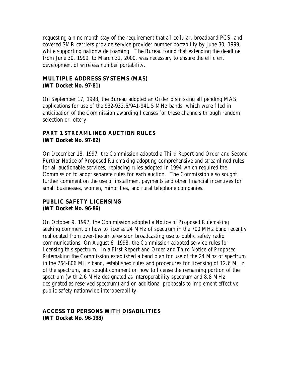requesting a nine-month stay of the requirement that all cellular, broadband PCS, and covered SMR carriers provide service provider number portability by June 30, 1999, while supporting nationwide roaming. The Bureau found that extending the deadline from June 30, 1999, to March 31, 2000, was necessary to ensure the efficient development of wireless number portability.

## **MULTIPLE ADDRESS SYSTEMS (MAS) (WT Docket No. 97-81)**

On September 17, 1998, the Bureau adopted an *Order* dismissing all pending MAS applications for use of the 932-932.5/941-941.5 MHz bands, which were filed in anticipation of the Commission awarding licenses for these channels through random selection or lottery.

## **PART 1 STREAMLINED AUCTION RULES (WT Docket No. 97-82)**

On December 18, 1997, the Commission adopted a *Third Report and Order and Second Further Notice of Proposed Rulemaking* adopting comprehensive and streamlined rules for all auctionable services, replacing rules adopted in 1994 which required the Commission to adopt separate rules for each auction. The Commission also sought further comment on the use of installment payments and other financial incentives for small businesses, women, minorities, and rural telephone companies.

## **PUBLIC SAFETY LICENSING (WT Docket No. 96-86)**

On October 9, 1997, the Commission adopted a *Notice of Proposed Rulemaking* seeking comment on how to license 24 MHz of spectrum in the 700 MHz band recently reallocated from over-the-air television broadcasting use to public safety radio communications. On August 6, 1998, the Commission adopted service rules for licensing this spectrum. In a *First Report and Order and Third Notice of Proposed Rulemaking* the Commission established a band plan for use of the 24 Mhz of spectrum in the 764-806 MHz band, established rules and procedures for licensing of 12.6 MHz of the spectrum, and sought comment on how to license the remaining portion of the spectrum (with 2.6 MHz designated as interoperability spectrum and 8.8 MHz designated as reserved spectrum) and on additional proposals to implement effective public safety nationwide interoperability.

## **ACCESS TO PERSONS WITH DISABILITIES (WT Docket No. 96-198)**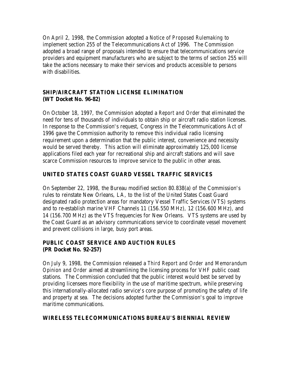On April 2, 1998, the Commission adopted a *Notice of Proposed Rulemaking* to implement section 255 of the Telecommunications Act of 1996. The Commission adopted a broad range of proposals intended to ensure that telecommunications service providers and equipment manufacturers who are subject to the terms of section 255 will take the actions necessary to make their services and products accessible to persons with disabilities.

## **SHIP/AIRCRAFT STATION LICENSE ELIMINATION (WT Docket No. 96-82)**

On October 18, 1997, the Commission adopted a *Report and Order* that eliminated the need for tens of thousands of individuals to obtain ship or aircraft radio station licenses. In response to the Commission's request, Congress in the Telecommunications Act of 1996 gave the Commission authority to remove this individual radio licensing requirement upon a determination that the public interest, convenience and necessity would be served thereby. This action will eliminate approximately 125,000 license applications filed each year for recreational ship and aircraft stations and will save scarce Commission resources to improve service to the public in other areas.

## **UNITED STATES COAST GUARD VESSEL TRAFFIC SERVICES**

On September 22, 1998, the Bureau modified section 80.838(a) of the Commission's rules to reinstate New Orleans, LA, to the list of the United States Coast Guard designated radio protection areas for mandatory Vessel Traffic Services (VTS) systems and to re-establish marine VHF Channels 11 (156.550 MHz), 12 (156.600 MHz), and 14 (156.700 MHz) as the VTS frequencies for New Orleans. VTS systems are used by the Coast Guard as an advisory communications service to coordinate vessel movement and prevent collisions in large, busy port areas.

## **PUBLIC COAST SERVICE AND AUCTION RULES (PR Docket No. 92-257)**

On July 9, 1998, the Commission released a *Third Report and Order and Memorandum Opinion and Order* aimed at streamlining the licensing process for VHF public coast stations. The Commission concluded that the public interest would best be served by providing licensees more flexibility in the use of maritime spectrum, while preserving this internationally-allocated radio service's core purpose of promoting the safety of life and property at sea. The decisions adopted further the Commission's goal to improve maritime communications.

## **WIRELESS TELECOMMUNICATIONS BUREAU'S BIENNIAL REVIEW**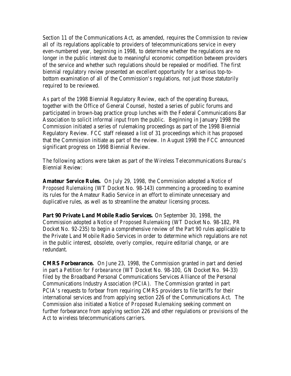Section 11 of the Communications Act, as amended, requires the Commission to review all of its regulations applicable to providers of telecommunications service in every even-numbered year, beginning in 1998, to determine whether the regulations are no longer in the public interest due to meaningful economic competition between providers of the service and whether such regulations should be repealed or modified. The first biennial regulatory review presented an excellent opportunity for a serious top-tobottom examination of all of the Commission's regulations, not just those statutorily required to be reviewed.

As part of the 1998 Biennial Regulatory Review, each of the operating Bureaus, together with the Office of General Counsel, hosted a series of public forums and participated in brown-bag practice group lunches with the Federal Communications Bar Association to solicit informal input from the public. Beginning in January 1998 the Commission initiated a series of rulemaking proceedings as part of the 1998 Biennial Regulatory Review. FCC staff released a list of 31 proceedings which it has proposed that the Commission initiate as part of the review. In August 1998 the FCC announced significant progress on 1998 Biennial Review.

The following actions were taken as part of the Wireless Telecommunications Bureau's Biennial Review:

**Amateur Service Rules.** On July 29, 1998, the Commission adopted a *Notice of Proposed Rulemaking* (WT Docket No. 98-143) commencing a proceeding to examine its rules for the Amateur Radio Service in an effort to eliminate unnecessary and duplicative rules, as well as to streamline the amateur licensing process.

**Part 90 Private Land Mobile Radio Services.** On September 30, 1998, the Commission adopted a *Notice of Proposed Rulemaking* (WT Docket No. 98-182, PR Docket No. 92-235) to begin a comprehensive review of the Part 90 rules applicable to the Private Land Mobile Radio Services in order to determine which regulations are not in the public interest, obsolete, overly complex, require editorial change, or are redundant.

**CMRS Forbearance.** On June 23, 1998, the Commission granted in part and denied in part a *Petition for Forbearance* (WT Docket No. 98-100, GN Docket No. 94-33) filed by the Broadband Personal Communications Services Alliance of the Personal Communications Industry Association (PCIA). The Commission granted in part PCIA's requests to forbear from requiring CMRS providers to file tariffs for their international services and from applying section 226 of the Communications Act. The Commission also initiated a *Notice of Proposed Rulemaking* seeking comment on further forbearance from applying section 226 and other regulations or provisions of the Act to wireless telecommunications carriers.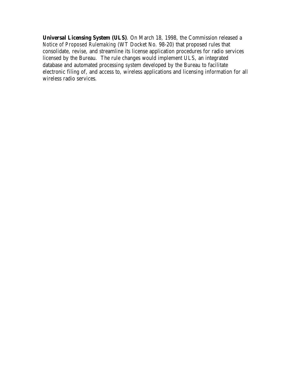**Universal Licensing System (ULS)**. On March 18, 1998, the Commission released a *Notice of Proposed Rulemaking* (WT Docket No. 98-20) that proposed rules that consolidate, revise, and streamline its license application procedures for radio services licensed by the Bureau. The rule changes would implement ULS, an integrated database and automated processing system developed by the Bureau to facilitate electronic filing of, and access to, wireless applications and licensing information for all wireless radio services.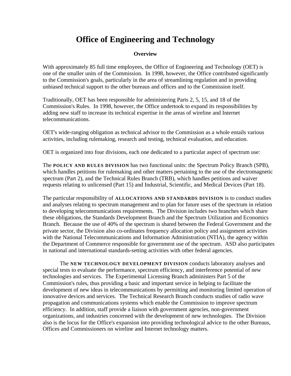# **Office of Engineering and Technology**

### **Overview**

With approximately 85 full time employees, the Office of Engineering and Technology (OET) is one of the smaller units of the Commission. In 1998, however, the Office contributed significantly to the Commission's goals, particularly in the area of streamlining regulation and in providing unbiased technical support to the other bureaus and offices and to the Commission itself.

Traditionally, OET has been responsible for administering Parts 2, 5, 15, and 18 of the Commission's Rules. In 1998, however, the Office undertook to expand its responsibilities by adding new staff to increase its technical expertise in the areas of wireline and Internet telecommunications.

OET's wide-ranging obligation as technical advisor to the Commission as a whole entails various activities, including rulemaking, research and testing, technical evaluation, and education.

OET is organized into four divisions, each one dedicated to a particular aspect of spectrum use:

The **POLICY AND RULES DIVISION** has two functional units: the Spectrum Policy Branch (SPB), which handles petitions for rulemaking and other matters pertaining to the use of the electromagnetic spectrum (Part 2), and the Technical Rules Branch (TRB), which handles petitions and waiver requests relating to unlicensed (Part 15) and Industrial, Scientific, and Medical Devices (Part 18).

The particular responsibility of **ALLOCATIONS AND STANDARDS DIVISION** is to conduct studies and analyses relating to spectrum management and to plan for future uses of the spectrum in relation to developing telecommunications requirements. The Division includes two branches which share these obligations, the Standards Development Branch and the Spectrum Utilization and Economics Branch. Because the use of 40% of the spectrum is shared between the Federal Government and the private sector, the Division also co-ordinates frequency allocation policy and assignment activities with the National Telecommunications and Information Administration (NTIA), the agency within the Department of Commerce responsible for government use of the spectrum. ASD also participates in national and international standards-setting activities with other federal agencies.

The **NEW TECHNOLOGY DEVELOPMENT DIVISION** conducts laboratory analyses and special tests to evaluate the performance, spectrum efficiency, and interference potential of new technologies and services. The Experimental Licensing Branch administers Part 5 of the Commission's rules, thus providing a basic and important service in helping to facilitate the development of new ideas in telecommunications by permitting and monitoring limited operation of innovative devices and services. The Technical Research Branch conducts studies of radio wave propagation and communications systems which enable the Commission to improve spectrum efficiency. In addition, staff provide a liaison with government agencies, non-government organizations, and industries concerned with the development of new technologies. The Division also is the locus for the Office's expansion into providing technological advice to the other Bureaus, Offices and Commissioners on wireline and Internet technology matters.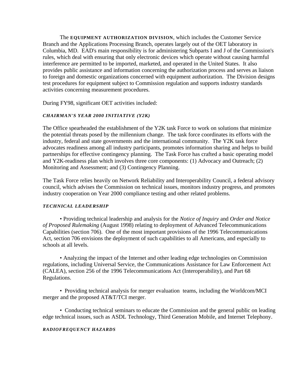The **EQUIPMENT AUTHORIZATION DIVISION**, which includes the Customer Service Branch and the Applications Processing Branch, operates largely out of the OET laboratory in Columbia, MD. EAD's main responsibility is for administering Subparts I and J of the Commission's rules, which deal with ensuring that only electronic devices which operate without causing harmful interference are permitted to be imported, marketed, and operated in the United States. It also provides public assistance and information concerning the authorization process and serves as liaison to foreign and domestic organizations concerned with equipment authorization. The Division designs test procedures for equipment subject to Commission regulation and supports industry standards activities concerning measurement procedures.

During FY98, significant OET activities included:

### *CHAIRMAN'S YEAR 2000 INITIATIVE (Y2K)*

The Office spearheaded the establishment of the Y2K task Force to work on solutions that minimize the potential threats posed by the millennium change. The task force coordinates its efforts with the industry, federal and state governments and the international community. The Y2K task force advocates readiness among all industry participants, promotes information sharing and helps to build partnerships for effective contingency planning. The Task Force has crafted a basic operating model and Y2K-readiness plan which involves three core components: (1) Advocacy and Outreach; (2) Monitoring and Assessment; and (3) Contingency Planning.

The Task Force relies heavily on Network Reliability and Interoperability Council, a federal advisory council, which advises the Commission on technical issues, monitors industry progress, and promotes industry cooperation on Year 2000 compliance testing and other related problems.

#### *TECHNICAL LEADERSHIP*

• Providing technical leadership and analysis for the *Notice of Inquiry* and *Order and Notice of Proposed Rulemaking* (August 1998) relating to deployment of Advanced Telecommunications Capabilities (section 706). One of the most important provisions of the 1996 Telecommunications Act, section 706 envisions the deployment of such capabilities to all Americans, and especially to schools at all levels.

• Analyzing the impact of the Internet and other leading edge technologies on Commission regulations, including Universal Service, the Communications Assistance for Law Enforcement Act (CALEA), section 256 of the 1996 Telecommunications Act (Interoperability), and Part 68 Regulations.

• Providing technical analysis for merger evaluation teams, including the Worldcom/MCI merger and the proposed AT&T/TCI merger.

• Conducting technical seminars to educate the Commission and the general public on leading edge technical issues, such as ASDL Technology, Third Generation Mobile, and Internet Telephony.

#### *RADIOFREQUENCY HAZARDS*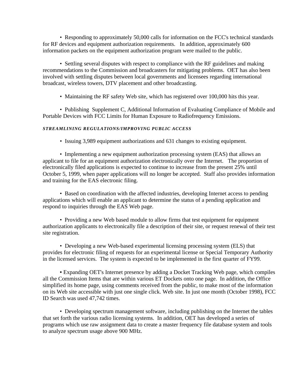• Responding to approximately 50,000 calls for information on the FCC's technical standards for RF devices and equipment authorization requirements. In addition, approximately 600 information packets on the equipment authorization program were mailed to the public.

• Settling several disputes with respect to compliance with the RF guidelines and making recommendations to the Commission and broadcasters for mitigating problems. OET has also been involved with settling disputes between local governments and licensees regarding international broadcast, wireless towers, DTV placement and other broadcasting.

• Maintaining the RF safety Web site, which has registered over 100,000 hits this year.

• Publishing Supplement C, Additional Information of Evaluating Compliance of Mobile and Portable Devices with FCC Limits for Human Exposure to Radiofrequency Emissions.

### *STREAMLINING REGULATIONS/IMPROVING PUBLIC ACCESS*

*•* Issuing 3,989 equipment authorizations and 631 changes to existing equipment.

• Implementing a new equipment authorization processing system (EAS) that allows an applicant to file for an equipment authorization electronically over the Internet. The proportion of electronically filed applications is expected to continue to increase from the present 25% until October 5, 1999, when paper applications will no longer be accepted. Staff also provides information and training for the EAS electronic filing.

• Based on coordination with the affected industries, developing Internet access to pending applications which will enable an applicant to determine the status of a pending application and respond to inquiries through the EAS Web page.

• Providing a new Web based module to allow firms that test equipment for equipment authorization applicants to electronically file a description of their site, or request renewal of their test site registration.

• Developing a new Web-based experimental licensing processing system (ELS) that provides for electronic filing of requests for an experimental license or Special Temporary Authority in the licensed services. The system is expected to be implemented in the first quarter of FY99.

**•** Expanding OET's Internet presence by adding a Docket Tracking Web page, which compiles all the Commission Items that are within various ET Dockets onto one page. In addition, the Office simplified its home page, using comments received from the public, to make most of the information on its Web site accessible with just one single click. Web site. In just one month (October 1998), FCC ID Search was used 47,742 times.

• Developing spectrum management software, including publishing on the Internet the tables that set forth the various radio licensing systems. In addition, OET has developed a series of programs which use raw assignment data to create a master frequency file database system and tools to analyze spectrum usage above 900 MHz.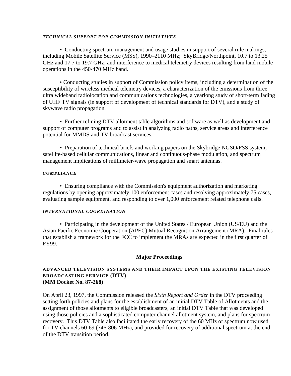#### *TECHNICAL SUPPORT FOR COMMISSION INITIATIVES*

• Conducting spectrum management and usage studies in support of several rule makings, including Mobile Satellite Service (MSS), 1990–2110 MHz; SkyBridge/Northpoint, 10.7 to 13.25 GHz and 17.7 to 19.7 GHz; and interference to medical telemetry devices resulting from land mobile operations in the 450-470 MHz band.

• Conducting studies in support of Commission policy items, including a determination of the susceptibility of wireless medical telemetry devices, a characterization of the emissions from three ultra wideband radiolocation and communications technologies, a yearlong study of short-term fading of UHF TV signals (in support of development of technical standards for DTV), and a study of skywave radio propagation.

• Further refining DTV allotment table algorithms and software as well as development and support of computer programs and to assist in analyzing radio paths, service areas and interference potential for MMDS and TV broadcast services.

• Preparation of technical briefs and working papers on the Skybridge NGSO/FSS system, satellite-based cellular communications, linear and continuous-phase modulation, and spectrum management implications of millimeter-wave propagation and smart antennas.

#### *COMPLIANCE*

• Ensuring compliance with the Commission's equipment authorization and marketing regulations by opening approximately 100 enforcement cases and resolving approximately 75 cases, evaluating sample equipment, and responding to over 1,000 enforcement related telephone calls.

#### *INTERNATIONAL COORDINATION*

• Participating in the development of the United States / European Union (US/EU) and the Asian Pacific Economic Cooperation (APEC) Mutual Recognition Arrangement (MRA). Final rules that establish a framework for the FCC to implement the MRAs are expected in the first quarter of FY99.

### **Major Proceedings**

### **ADVANCED TELEVISION SYSTEMS AND THEIR IMPACT UPON THE EXISTING TELEVISION BROADCASTING SERVICE (DTV) (MM Docket No. 87-268)**

On April 23, 1997, the Commission released the *Sixth Report and Order* in the DTV proceeding setting forth policies and plans for the establishment of an initial DTV Table of Allotments and the assignment of those allotments to eligible broadcasters, an initial DTV Table that was developed using those policies and a sophisticated computer channel allotment system, and plans for spectrum recovery. This DTV Table also facilitated the early recovery of the 60 MHz of spectrum now used for TV channels 60-69 (746-806 MHz), and provided for recovery of additional spectrum at the end of the DTV transition period.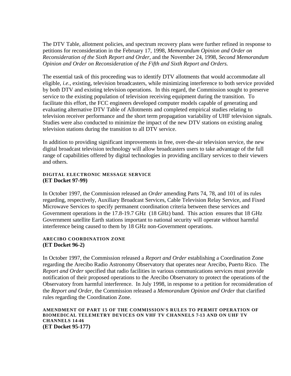The DTV Table, allotment policies, and spectrum recovery plans were further refined in response to petitions for reconsideration in the February 17, 1998, *Memorandum Opinion and Order on Reconsideration of the Sixth Report and Order*, and the November 24, 1998, *Second Memorandum Opinion and Order on Reconsideration of the Fifth and Sixth Report and Orders.*

The essential task of this proceeding was to identify DTV allotments that would accommodate all eligible, *i.e.*, existing, television broadcasters, while minimizing interference to both service provided by both DTV and existing television operations. In this regard, the Commission sought to preserve service to the existing population of television receiving equipment during the transition. To facilitate this effort, the FCC engineers developed computer models capable of generating and evaluating alternative DTV Table of Allotments and completed empirical studies relating to television receiver performance and the short term propagation variability of UHF television signals. Studies were also conducted to minimize the impact of the new DTV stations on existing analog television stations during the transition to all DTV service.

In addition to providing significant improvements in free, over-the-air television service, the new digital broadcast television technology will allow broadcasters users to take advantage of the full range of capabilities offered by digital technologies in providing ancillary services to their viewers and others.

### **DIGITAL ELECTRONIC MESSAGE SERVICE (ET Docket 97-99)**

In October 1997, the Commission released an *Order* amending Parts 74, 78, and 101 of its rules regarding, respectively, Auxiliary Broadcast Services, Cable Television Relay Service, and Fixed Microwave Services to specify permanent coordination criteria between these services and Government operations in the 17.8-19.7 GHz (18 GHz) band. This action ensures that 18 GHz Government satellite Earth stations important to national security will operate without harmful interference being caused to them by 18 GHz non-Government operations.

### **ARECIBO COORDINATION ZONE (ET Docket 96-2)**

In October 1997, the Commission released a *Report and Order* establishing a Coordination Zone regarding the Arecibo Radio Astronomy Observatory that operates near Arecibo, Puerto Rico. The *Report and Order* specified that radio facilities in various communications services must provide notification of their proposed operations to the Arecibo Observatory to protect the operations of the Observatory from harmful interference. In July 1998, in response to a petition for reconsideration of the *Report and Order,* the Commission released a *Memorandum Opinion and Order* that clarified rules regarding the Coordination Zone.

#### **AMENDMENT OF PART 15 OF THE COMMISSION'S RULES TO PERMIT OPERATION OF BIOMEDICAL TELEMETRY DEVICES ON VHF TV CHANNELS 7-13 AND ON UHF TV CHANNELS 14-46 (ET Docket 95-177)**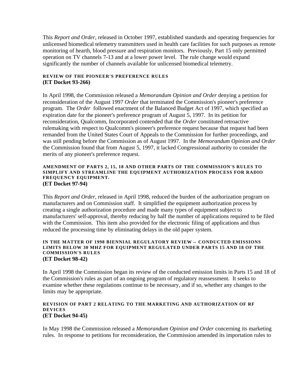This *Report and Order*, released in October 1997, established standards and operating frequencies for unlicensed biomedical telemetry transmitters used in health care facilities for such purposes as remote monitoring of hearth, blood pressure and respiration monitors. Previously, Part 15 only permitted operation on TV channels 7-13 and at a lower power level. The rule change would expand significantly the number of channels available for unlicensed biomedical telemetry.

### **REVIEW OF THE PIONEER'S PREFERENCE RULES (ET Docket 93-266)**

In April 1998, the Commission released a *Memorandum Opinion and Order* denying a petition for reconsideration of the August 1997 *Order* that terminated the Commission's pioneer's preference program. The *Order* followed enactment of the Balanced Budget Act of 1997, which specified an expiration date for the pioneer's preference program of August 5, 1997. In its petition for reconsideration, Qualcomm, Incorporated contended that the *Order* constituted retroactive rulemaking with respect to Qualcomm's pioneer's preference request because that request had been remanded from the United States Court of Appeals to the Commission for further proceedings, and was still pending before the Commission as of August 1997. In the *Memorandum Opinion and Order* the Commission found that from August 5, 1997, it lacked Congressional authority to consider the merits of any pioneer's preference request.

#### **AMENDMENT OF PARTS 2, 15, 18 AND OTHER PARTS OF THE COMMISSION'S RULES TO SIMPLIFY AND STREAMLINE THE EQUIPMENT AUTHORIZATION PROCESS FOR RADIO FREQUENCY EQUIPMENT. (ET Docket 97-94)**

This *Report and Order*, released in April 1998, reduced the burden of the authorization program on manufacturers and on Commission staff. It simplified the equipment authorization process by creating a single authorization procedure and made many types of equipment subject to manufacturers' self-approval, thereby reducing by half the number of applications required to be filed with the Commission. This item also provided for the electronic filing of applications and thus reduced the processing time by eliminating delays in the old paper system.

#### **IN THE MATTER OF 1998 BIENNIAL REGULATORY REVIEW -- CONDUCTED EMISSIONS LIMITS BELOW 30 MHZ FOR EQUIPMENT REGULATED UNDER PARTS 15 AND 18 OF THE COMMISSION'S RULES (ET Docket 98-42)**

In April 1998 the Commission began its review of the conducted emission limits in Parts 15 and 18 of the Commission's rules as part of an ongoing program of regulatory reassessment. It seeks to examine whether these regulations continue to be necessary, and if so, whether any changes to the limits may be appropriate.

#### **REVISION OF PART 2 RELATING TO THE MARKETING AND AUTHORIZATION OF RF DEVICES (ET Docket 94-45)**

In May 1998 the Commission released a *Memorandum Opinion and Order* concerning its marketing rules. In response to petitions for reconsideration, the Commission amended its importation rules to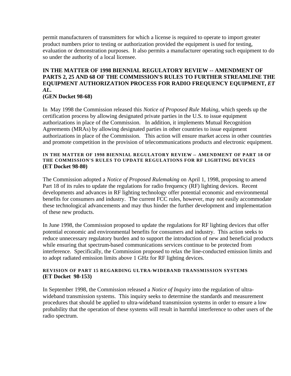permit manufacturers of transmitters for which a license is required to operate to import greater product numbers prior to testing or authorization provided the equipment is used for testing, evaluation or demonstration purposes. It also permits a manufacturer operating such equipment to do so under the authority of a local licensee.

### **IN THE MATTER OF 1998 BIENNIAL REGULATORY REVIEW -- AMENDMENT OF PARTS 2, 25 AND 68 OF THE COMMISSION'S RULES TO FURTHER STREAMLINE THE EQUIPMENT AUTHORIZATION PROCESS FOR RADIO FREQUENCY EQUIPMENT,** *ET AL***. (GEN Docket 98-68)**

In May 1998 the Commission released this *Notice of Proposed Rule Making*, which speeds up the certification process by allowing designated private parties in the U.S. to issue equipment authorizations in place of the Commission. In addition, it implements Mutual Recognition Agreements (MRAs) by allowing designated parties in other countries to issue equipment authorizations in place of the Commission. This action will ensure market access in other countries and promote competition in the provision of telecommunications products and electronic equipment.

#### **IN THE MATTER OF 1998 BIENNIAL REGULATORY REVIEW -- AMENDMENT OF PART 18 OF THE COMMISSION'S RULES TO UPDATE REGULATIONS FOR RF LIGHTING DEVICES (ET Docket 98-80)**

The Commission adopted a *Notice of Proposed Rulemaking* on April 1, 1998, proposing to amend Part 18 of its rules to update the regulations for radio frequency (RF) lighting devices. Recent developments and advances in RF lighting technology offer potential economic and environmental benefits for consumers and industry. The current FCC rules, however, may not easily accommodate these technological advancements and may thus hinder the further development and implementation of these new products.

In June 1998, the Commission proposed to update the regulations for RF lighting devices that offer potential economic and environmental benefits for consumers and industry. This action seeks to reduce unnecessary regulatory burden and to support the introduction of new and beneficial products while ensuring that spectrum-based communications services continue to be protected from interference. Specifically, the Commission proposed to relax the line-conducted emission limits and to adopt radiated emission limits above 1 GHz for RF lighting devices.

### **REVISION OF PART 15 REGARDING ULTRA-WIDEBAND TRANSMISSION SYSTEMS (ET Docket 98-153)**

In September 1998, the Commission released a *Notice of Inquiry* into the regulation of ultrawideband transmission systems. This inquiry seeks to determine the standards and measurement procedures that should be applied to ultra-wideband transmission systems in order to ensure a low probability that the operation of these systems will result in harmful interference to other users of the radio spectrum.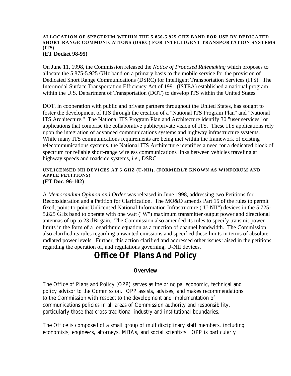#### **ALLOCATION OF SPECTRUM WITHIN THE 5.850-5.925 GHZ BAND FOR USE BY DEDICATED SHORT RANGE COMMUNICATIONS (DSRC) FOR INTELLIGENT TRANSPORTATION SYSTEMS (ITS) (ET Docket 98-95)**

On June 11, 1998, the Commission released the *Notice of Proposed Rulemaking* which proposes to allocate the 5.875-5.925 GHz band on a primary basis to the mobile service for the provision of Dedicated Short Range Communications (DSRC) for Intelligent Transportation Services (ITS). The Intermodal Surface Transportation Efficiency Act of 1991 (ISTEA) established a national program within the U.S. Department of Transportation (DOT) to develop ITS within the United States.

DOT, in cooperation with public and private partners throughout the United States, has sought to foster the development of ITS through the creation of a "National ITS Program Plan" and "National ITS Architecture." The National ITS Program Plan and Architecture identify 30 "user services" or applications that comprise the collaborative public/private vision of ITS. These ITS applications rely upon the integration of advanced communications systems and highway infrastructure systems. While many ITS communications requirements are being met within the framework of existing telecommunications systems, the National ITS Architecture identifies a need for a dedicated block of spectrum for reliable short-range wireless communications links between vehicles traveling at highway speeds and roadside systems, *i.e.,* DSRC.

#### **UNLICENSED NII DEVICES AT 5 GHZ (U-NII), (FORMERLY KNOWN AS WINFORUM AND APPLE PETITIONS) (ET Doc. 96-102)**

A *Memorandum Opinion and Order* was released in June 1998, addressing two Petitions for Reconsideration and a Petition for Clarification. The MO&O amends Part 15 of the rules to permit fixed, point-to-point Unlicensed National Information Infrastructure ("U-NII") devices in the 5.725- 5.825 GHz band to operate with one watt ("W") maximum transmitter output power and directional antennas of up to 23 dBi gain. The Commission also amended its rules to specify transmit power limits in the form of a logarithmic equation as a function of channel bandwidth. The Commission also clarified its rules regarding unwanted emissions and specified these limits in terms of absolute radiated power levels. Further, this action clarified and addressed other issues raised in the petitions regarding the operation of, and regulations governing, U-NII devices.

# **Office Of Plans And Policy**

### **Overview**

The Office of Plans and Policy (OPP) serves as the principal economic, technical and policy advisor to the Commission. OPP assists, advises, and makes recommendations to the Commission with respect to the development and implementation of communications policies in all areas of Commission authority and responsibility, particularly those that cross traditional industry and institutional boundaries.

The Office is composed of a small group of multidisciplinary staff members, including economists, engineers, attorneys, MBAs, and social scientists. OPP is particularly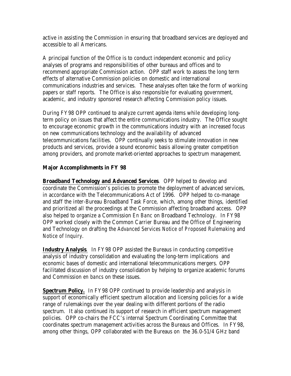active in assisting the Commission in ensuring that broadband services are deployed and accessible to all Americans.

A principal function of the Office is to conduct independent economic and policy analyses of programs and responsibilities of other bureaus and offices and to recommend appropriate Commission action. OPP staff work to assess the long term effects of alternative Commission policies on domestic and international communications industries and services. These analyses often take the form of working papers or staff reports. The Office is also responsible for evaluating government, academic, and industry sponsored research affecting Commission policy issues.

During FY98 OPP continued to analyze current agenda items while developing longterm policy on issues that affect the entire communications industry. The Office sought to encourage economic growth in the communications industry with an increased focus on new communications technology and the availability of advanced telecommunications facilities. OPP continually seeks to stimulate innovation in new products and services, provide a sound economic basis allowing greater competition among providers, and promote market-oriented approaches to spectrum management.

## **Major Accomplishments in FY 98**

**Broadband Technology and Advanced Services**. OPP helped to develop and coordinate the Commission's policies to promote the deployment of advanced services, in accordance with the Telecommunications Act of 1996. OPP helped to co-manage and staff the inter-Bureau Broadband Task Force, which, among other things, identified and prioritized all the proceedings at the Commission affecting broadband access. OPP also helped to organize a Commission *En Banc* on Broadband Technology. In FY98 OPP worked closely with the Common Carrier Bureau and the Office of Engineering and Technology on drafting the *Advanced Services Notice of Proposed Rulemaking* and *Notice of Inquiry*.

**Industry Analysis**. In FY98 OPP assisted the Bureaus in conducting competitive analysis of industry consolidation and evaluating the long-term implications and economic bases of domestic and international telecommunications mergers. OPP facilitated discussion of industry consolidation by helping to organize academic forums and Commission *en bancs* on these issues.

**Spectrum Policy.** In FY98 OPP continued to provide leadership and analysis in support of economically efficient spectrum allocation and licensing policies for a wide range of rulemakings over the year dealing with different portions of the radio spectrum. It also continued its support of research in efficient spectrum management policies. OPP co-chairs the FCC's internal Spectrum Coordinating Committee that coordinates spectrum management activities across the Bureaus and Offices. In FY98, among other things, OPP collaborated with the Bureaus on the 36.0-51/4 GHz band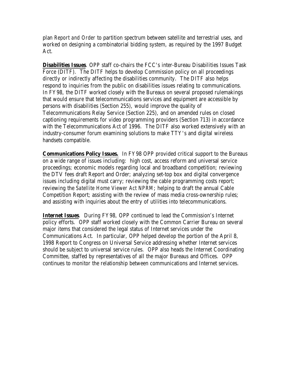plan *Report and Order* to partition spectrum between satellite and terrestrial uses, and worked on designing a combinatorial bidding system, as required by the 1997 Budget Act.

**Disabilities Issues**. OPP staff co-chairs the FCC's inter-Bureau Disabilities Issues Task Force (DITF). The DITF helps to develop Commission policy on all proceedings directly or indirectly affecting the disabilities community. The DITF also helps respond to inquiries from the public on disabilities issues relating to communications. In FY98, the DITF worked closely with the Bureaus on several proposed rulemakings that would ensure that telecommunications services and equipment are accessible by persons with disabilities (Section 255), would improve the quality of Telecommunications Relay Service (Section 225), and on amended rules on closed captioning requirements for video programming providers (Section 713) in accordance with the Telecommunications Act of 1996. The DITF also worked extensively with an industry-consumer forum examining solutions to make TTY's and digital wireless handsets compatible.

**Communications Policy Issues.** In FY98 OPP provided critical support to the Bureaus on a wide range of issues including: high cost, access reform and universal service proceedings; economic models regarding local and broadband competition; reviewing the DTV fees draft Report and Order; analyzing set-top box and digital convergence issues including digital must carry; reviewing the cable programming costs report; reviewing the *Satellite Home Viewer Act NPRM*; helping to draft the annual Cable Competition Report; assisting with the review of mass media cross-ownership rules; and assisting with inquiries about the entry of utilities into telecommunications.

**Internet Issues**. During FY98, OPP continued to lead the Commission's Internet policy efforts. OPP staff worked closely with the Common Carrier Bureau on several major items that considered the legal status of Internet services under the Communications Act. In particular, OPP helped develop the portion of the April 8, 1998 Report to Congress on Universal Service addressing whether Internet services should be subject to universal service rules. OPP also heads the Internet Coordinating Committee, staffed by representatives of all the major Bureaus and Offices. OPP continues to monitor the relationship between communications and Internet services.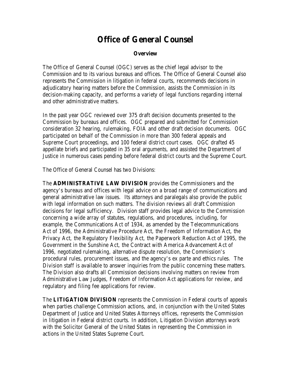# **Office of General Counsel**

#### **Overview**

The Office of General Counsel (OGC) serves as the chief legal advisor to the Commission and to its various bureaus and offices. The Office of General Counsel also represents the Commission in litigation in federal courts, recommends decisions in adjudicatory hearing matters before the Commission, assists the Commission in its decision-making capacity, and performs a variety of legal functions regarding internal and other administrative matters.

In the past year OGC reviewed over 375 draft decision documents presented to the Commission by bureaus and offices. OGC prepared and submitted for Commission consideration 32 hearing, rulemaking, FOIA and other draft decision documents. OGC participated on behalf of the Commission in more than 300 federal appeals and Supreme Court proceedings, and 100 federal district court cases. OGC drafted 45 appellate briefs and participated in 35 oral arguments, and assisted the Department of Justice in numerous cases pending before federal district courts and the Supreme Court.

The Office of General Counsel has two Divisions:

The **ADMINISTRATIVE LAW DIVISION** provides the Commissioners and the agency's bureaus and offices with legal advice on a broad range of communications and general administrative law issues. Its attorneys and paralegals also provide the public with legal information on such matters. The division reviews all draft Commission decisions for legal sufficiency. Division staff provides legal advice to the Commission concerning a wide array of statutes, regulations, and procedures, including, for example, the Communications Act of 1934, as amended by the Telecommunications Act of 1996, the Administrative Procedure Act, the Freedom of Information Act, the Privacy Act, the Regulatory Flexibility Act, the Paperwork Reduction Act of 1995, the Government in the Sunshine Act, the Contract with America Advancement Act of 1996, negotiated rulemaking, alternative dispute resolution, the Commission's procedural rules, procurement issues, and the agency's ex parte and ethics rules. The Division staff is available to answer inquiries from the public concerning these matters. The Division also drafts all Commission decisions involving matters on review from Administrative Law Judges, Freedom of Information Act applications for review, and regulatory and filing fee applications for review.

The **LITIGATION DIVISION** represents the Commission in Federal courts of appeals when parties challenge Commission actions, and, in conjunction with the United States Department of Justice and United States Attorneys offices, represents the Commission in litigation in Federal district courts. In addition, Litigation Division attorneys work with the Solicitor General of the United States in representing the Commission in actions in the United States Supreme Court.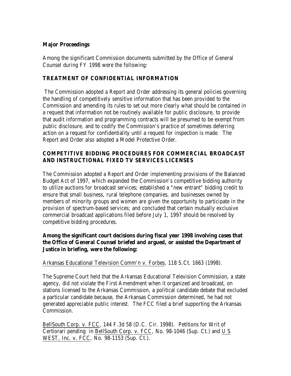## **Major Proceedings**

Among the significant Commission documents submitted by the Office of General Counsel during FY 1998 were the following:

## **TREATMENT OF CONFIDENTIAL INFORMATION**

 The Commission adopted a Report and Order addressing its general policies governing the handling of competitively sensitive information that has been provided to the Commission and amending its rules to set out more clearly what should be contained in a request that information not be routinely available for public disclosure, to provide that audit information and programming contracts will be presumed to be exempt from public disclosure, and to codify the Commission's practice of sometimes deferring action on a request for confidentiality until a request for inspection is made. The Report and Order also adopted a Model Protective Order.

## **COMPETITIVE BIDDING PROCEDURES FOR COMMERCIAL BROADCAST AND INSTRUCTIONAL FIXED TV SERVICES LICENSES**

The Commission adopted a Report and Order implementing provisions of the Balanced Budget Act of 1997, which expanded the Commission's competitive bidding authority to utilize auctions for broadcast services; established a "new entrant" bidding credit to ensure that small business, rural telephone companies, and businesses owned by members of minority groups and women are given the opportunity to participate in the provision of spectrum-based services; and concluded that certain mutually exclusive commercial broadcast applications filed before July 1, 1997 should be resolved by competitive bidding procedures.

## **Among the significant court decisions during fiscal year 1998 involving cases that the Office of General Counsel briefed and argued, or assisted the Department of Justice in briefing, were the following:**

Arkansas Educational Television Comm'n v. Forbes, 118 S.Ct. 1663 (1998).

The Supreme Court held that the Arkansas Educational Television Commission, a state agency, did not violate the First Amendment when it organized and broadcast, on stations licensed to the Arkansas Commission, a political candidate debate that excluded a particular candidate because, the Arkansas Commission determined, he had not generated appreciable public interest. The FCC filed a brief supporting the Arkansas Commission.

BellSouth Corp. v. FCC, 144 F.3d 58 (D.C. Cir. 1998). Petitions for Writ of Certiorari pending in BellSouth Corp. v. FCC, No. 98-1046 (Sup. Ct.) and U S WEST, Inc. v. FCC, No. 98-1153 (Sup. Ct.).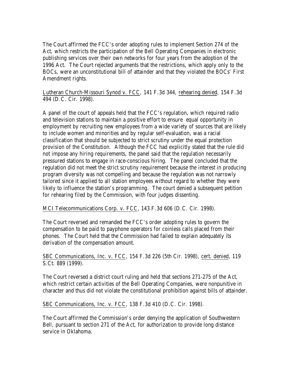The Court affirmed the FCC's order adopting rules to implement Section 274 of the Act, which restricts the participation of the Bell Operating Companies in electronic publishing services over their own networks for four years from the adoption of the 1996 Act. The Court rejected arguments that the restrictions, which apply only to the BOCs, were an unconstitutional bill of attainder and that they violated the BOCs' First Amendment rights.

Lutheran Church-Missouri Synod v. FCC, 141 F.3d 344, rehearing denied, 154 F.3d 494 (D.C. Cir. 1998).

A panel of the court of appeals held that the FCC's regulation, which required radio and television stations to maintain a positive effort to ensure equal opportunity in employment by recruiting new employees from a wide variety of sources that are likely to include women and minorities and by regular self-evaluation, was a racial classification that should be subjected to strict scrutiny under the equal protection provision of the Constitution. Although the FCC had explicitly stated that the rule did not impose any hiring requirements, the panel said that the regulation necessarily pressured stations to engage in race-conscious hiring. The panel concluded that the regulation did not meet the strict scrutiny requirement because the interest in producing program diversity was not compelling and because the regulation was not narrowly tailored since it applied to all station employees without regard to whether they were likely to influence the station's programming. The court denied a subsequent petition for rehearing filed by the Commission, with four judges dissenting.

MCI Telecommunications Corp. v. FCC, 143 F.3d 606 (D.C. Cir. 1998).

The Court reversed and remanded the FCC's order adopting rules to govern the compensation to be paid to payphone operators for coinless calls placed from their phones. The Court held that the Commission had failed to explain adequately its derivation of the compensation amount.

SBC Communications, Inc. v. FCC, 154 F.3d 226 (5th Cir. 1998), cert. denied, 119 S.Ct. 889 (1999).

The Court reversed a district court ruling and held that sections 271-275 of the Act, which restrict certain activities of the Bell Operating Companies, were nonpunitive in character and thus did not violate the constitutional prohibition against bills of attainder.

SBC Communications, Inc. v. FCC, 138 F.3d 410 (D.C. Cir. 1998).

The Court affirmed the Commission's order denying the application of Southwestern Bell, pursuant to section 271 of the Act, for authorization to provide long distance service in Oklahoma.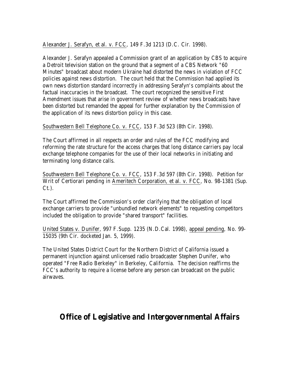Alexander J. Serafyn, et al. v. FCC, 149 F.3d 1213 (D.C. Cir. 1998).

Alexander J. Serafyn appealed a Commission grant of an application by CBS to acquire a Detroit television station on the ground that a segment of a CBS Network "60 Minutes" broadcast about modern Ukraine had distorted the news in violation of FCC policies against news distortion. The court held that the Commission had applied its own news distortion standard incorrectly in addressing Serafyn's complaints about the factual inaccuracies in the broadcast. The court recognized the sensitive First Amendment issues that arise in government review of whether news broadcasts have been distorted but remanded the appeal for further explanation by the Commission of the application of its news distortion policy in this case.

Southwestern Bell Telephone Co. v. FCC, 153 F.3d 523 (8th Cir. 1998).

The Court affirmed in all respects an order and rules of the FCC modifying and reforming the rate structure for the access charges that long distance carriers pay local exchange telephone companies for the use of their local networks in initiating and terminating long distance calls.

Southwestern Bell Telephone Co. v. FCC, 153 F.3d 597 (8th Cir. 1998). Petition for Writ of Certiorari pending in Ameritech Corporation, et al. v. FCC, No. 98-1381 (Sup.  $C_{t.}$ ).

The Court affirmed the Commission's order clarifying that the obligation of local exchange carriers to provide "unbundled network elements" to requesting competitors included the obligation to provide "shared transport" facilities.

United States v. Dunifer, 997 F.Supp. 1235 (N.D.Cal. 1998), appeal pending, No. 99- 15035 (9th Cir. docketed Jan. 5, 1999).

The United States District Court for the Northern District of California issued a permanent injunction against unlicensed radio broadcaster Stephen Dunifer, who operated "Free Radio Berkeley" in Berkeley, California. The decision reaffirms the FCC's authority to require a license before any person can broadcast on the public airwaves.

## **Office of Legislative and Intergovernmental Affairs**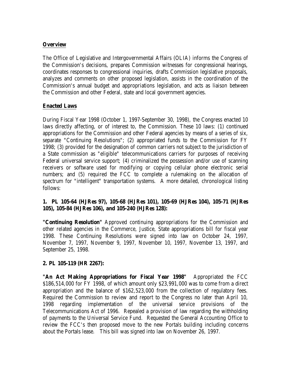## **Overview**

The Office of Legislative and Intergovernmental Affairs (OLIA) informs the Congress of the Commission's decisions, prepares Commission witnesses for congressional hearings, coordinates responses to congressional inquiries, drafts Commission legislative proposals, analyzes and comments on other proposed legislation, assists in the coordination of the Commission's annual budget and appropriations legislation, and acts as liaison between the Commission and other Federal, state and local government agencies.

### **Enacted Laws**

During Fiscal Year 1998 (October 1, 1997-September 30, 1998), the Congress enacted 10 laws directly affecting, or of interest to, the Commission. These 10 laws: (1) continued appropriations for the Commission and other Federal agencies by means of a series of six, separate "Continuing Resolutions"; (2) appropriated funds to the Commission for FY 1998; (3) provided for the designation of common carriers not subject to the jurisdiction of a State commission as "eligible" telecommunications carriers for purposes of receiving Federal universal service support; (4) criminalized the possession and/or use of scanning receivers or software used for modifying or copying cellular phone electronic serial numbers; and (5) required the FCC to complete a rulemaking on the allocation of spectrum for "intelligent" transportation systems. A more detailed, chronological listing follows:

## **1. PL 105-64 (HJRes 97), 105-68 (HJRes 101), 105-69 (HJRes 104), 105-71 (HJRes 105), 105-84 (HJRes 106), and 105-240 (HJRes 128):**

**"Continuing Resolution"** Approved continuing appropriations for the Commission and other related agencies in the Commerce, Justice, State appropriations bill for fiscal year 1998. These Continuing Resolutions were signed into law on October 24, 1997, November 7, 1997, November 9, 1997, November 10, 1997, November 13, 1997, and September 25, 1998.

### **2. PL 105-119 (HR 2267):**

**"An Act Making Appropriations for Fiscal Year 1998"** Appropriated the FCC \$186,514,000 for FY 1998, of which amount only \$23,991,000 was to come from a direct appropriation and the balance of \$162,523,000 from the collection of regulatory fees. Required the Commission to review and report to the Congress no later than April 10, 1998 regarding implementation of the universal service provisions of the Telecommunications Act of 1996. Repealed a provision of law regarding the withholding of payments to the Universal Service Fund. Requested the General Accounting Office to review the FCC's then proposed move to the new Portals building including concerns about the Portals lease. This bill was signed into law on November 26, 1997.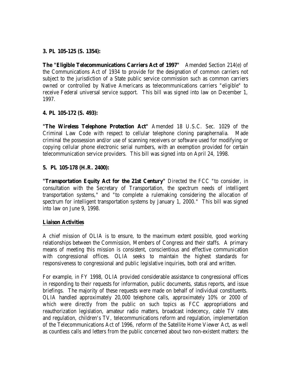#### **3. PL 105-125 (S. 1354):**

**The "Eligible Telecommunications Carriers Act of 1997"** Amended Section 214(e) of the Communications Act of 1934 to provide for the designation of common carriers not subject to the jurisdiction of a State public service commission such as common carriers owned or controlled by Native Americans as telecommunications carriers "eligible" to receive Federal universal service support. This bill was signed into law on December 1, 1997.

#### **4. PL 105-172 (S. 493):**

**"The Wireless Telephone Protection Act"** Amended 18 U.S.C. Sec. 1029 of the Criminal Law Code with respect to cellular telephone cloning paraphernalia. Made criminal the possession and/or use of scanning receivers or software used for modifying or copying cellular phone electronic serial numbers, with an exemption provided for certain telecommunication service providers. This bill was signed into on April 24, 1998.

#### **5. PL 105-178 (H.R. 2400):**

**"Transportation Equity Act for the 21st Century"** Directed the FCC "to consider, in consultation with the Secretary of Transportation, the spectrum needs of intelligent transportation systems," and "to complete a rulemaking considering the allocation of spectrum for intelligent transportation systems by January 1, 2000." This bill was signed into law on June 9, 1998.

#### **Liaison Activities**

A chief mission of OLIA is to ensure, to the maximum extent possible, good working relationships between the Commission, Members of Congress and their staffs. A primary means of meeting this mission is consistent, conscientious and effective communication with congressional offices. OLIA seeks to maintain the highest standards for responsiveness to congressional and public legislative inquiries, both oral and written.

For example, in FY 1998, OLIA provided considerable assistance to congressional offices in responding to their requests for information, public documents, status reports, and issue briefings. The majority of these requests were made on behalf of individual constituents. OLIA handled approximately 20,000 telephone calls, approximately 10% or 2000 of which were directly from the public on such topics as FCC appropriations and reauthorization legislation, amateur radio matters, broadcast indecency, cable TV rates and regulation, children's TV, telecommunications reform and regulation, implementation of the Telecommunications Act of 1996, reform of the Satellite Home Viewer Act, as well as countless calls and letters from the public concerned about two non-existent matters: the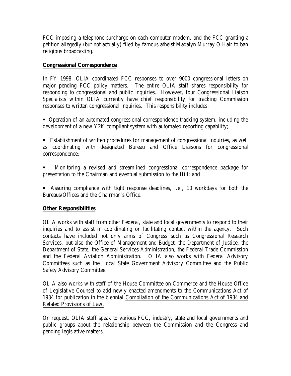FCC imposing a telephone surcharge on each computer modem, and the FCC granting a petition allegedly (but not actually) filed by famous atheist Madalyn Murray O'Hair to ban religious broadcasting.

## **Congressional Correspondence**

In FY 1998, OLIA coordinated FCC responses to over 9000 congressional letters on major pending FCC policy matters. The entire OLIA staff shares responsibility for responding to congressional and public inquiries. However, four Congressional Liaison Specialists within OLIA currently have chief responsibility for tracking Commission responses to written congressional inquiries. This responsibility includes:

ß Operation of an automated congressional correspondence tracking system, including the development of a new Y2K compliant system with automated reporting capability;

**Establishment of written procedures for management of congressional inquiries, as well** as coordinating with designated Bureau and Office Liaisons for congressional correspondence;

ß Monitoring a revised and streamlined congressional correspondence package for presentation to the Chairman and eventual submission to the Hill; and

ß Assuring compliance with tight response deadlines, *i.e.,* 10 workdays for both the Bureaus/Offices and the Chairman's Office.

## **Other Responsibilities**

OLIA works with staff from other Federal, state and local governments to respond to their inquiries and to assist in coordinating or facilitating contact within the agency. Such contacts have included not only arms of Congress such as Congressional Research Services, but also the Office of Management and Budget, the Department of Justice, the Department of State, the General Services Administration, the Federal Trade Commission and the Federal Aviation Administration. OLIA also works with Federal Advisory Committees such as the Local State Government Advisory Committee and the Public Safety Advisory Committee.

OLIA also works with staff of the House Committee on Commerce and the House Office of Legislative Counsel to add newly enacted amendments to the Communications Act of 1934 for publication in the biennial Compilation of the Communications Act of 1934 and Related Provisions of Law.

On request, OLIA staff speak to various FCC, industry, state and local governments and public groups about the relationship between the Commission and the Congress and pending legislative matters.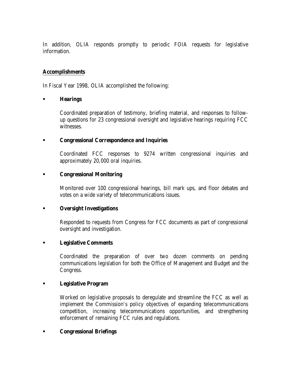In addition, OLIA responds promptly to periodic FOIA requests for legislative information.

#### **Accomplishments**

In Fiscal Year 1998, OLIA accomplished the following:

#### ß **Hearings**

Coordinated preparation of testimony, briefing material, and responses to followup questions for 23 congressional oversight and legislative hearings requiring FCC witnesses.

#### ß **Congressional Correspondence and Inquiries**

Coordinated FCC responses to 9274 written congressional inquiries and approximately 20,000 oral inquiries.

#### ß **Congressional Monitoring**

Monitored over 100 congressional hearings, bill mark ups, and floor debates and votes on a wide variety of telecommunications issues.

#### **Example 3 Coversight Investigations**

Responded to requests from Congress for FCC documents as part of congressional oversight and investigation.

### ß **Legislative Comments**

Coordinated the preparation of over two dozen comments on pending communications legislation for both the Office of Management and Budget and the Congress.

#### ß **Legislative Program**

Worked on legislative proposals to deregulate and streamline the FCC as well as implement the Commission's policy objectives of expanding telecommunications competition, increasing telecommunications opportunities, and strengthening enforcement of remaining FCC rules and regulations.

#### ß **Congressional Briefings**